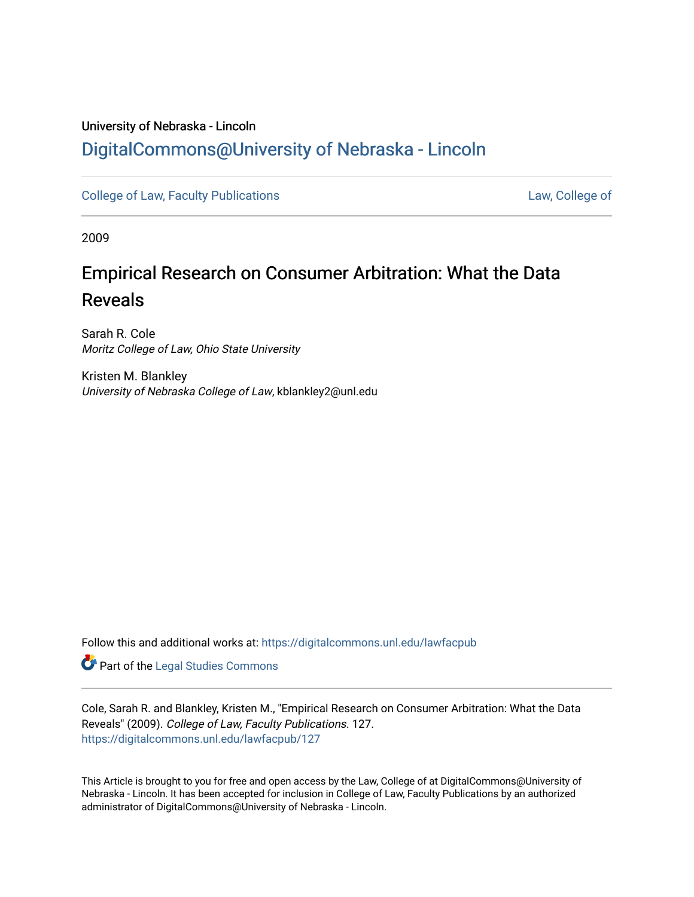## University of Nebraska - Lincoln [DigitalCommons@University of Nebraska - Lincoln](https://digitalcommons.unl.edu/)

[College of Law, Faculty Publications](https://digitalcommons.unl.edu/lawfacpub) **College of Law, College of** Law, College of

2009

# Empirical Research on Consumer Arbitration: What the Data Reveals

Sarah R. Cole Moritz College of Law, Ohio State University

Kristen M. Blankley University of Nebraska College of Law, kblankley2@unl.edu

Follow this and additional works at: [https://digitalcommons.unl.edu/lawfacpub](https://digitalcommons.unl.edu/lawfacpub?utm_source=digitalcommons.unl.edu%2Flawfacpub%2F127&utm_medium=PDF&utm_campaign=PDFCoverPages) 

Part of the [Legal Studies Commons](http://network.bepress.com/hgg/discipline/366?utm_source=digitalcommons.unl.edu%2Flawfacpub%2F127&utm_medium=PDF&utm_campaign=PDFCoverPages) 

Cole, Sarah R. and Blankley, Kristen M., "Empirical Research on Consumer Arbitration: What the Data Reveals" (2009). College of Law, Faculty Publications. 127. [https://digitalcommons.unl.edu/lawfacpub/127](https://digitalcommons.unl.edu/lawfacpub/127?utm_source=digitalcommons.unl.edu%2Flawfacpub%2F127&utm_medium=PDF&utm_campaign=PDFCoverPages) 

This Article is brought to you for free and open access by the Law, College of at DigitalCommons@University of Nebraska - Lincoln. It has been accepted for inclusion in College of Law, Faculty Publications by an authorized administrator of DigitalCommons@University of Nebraska - Lincoln.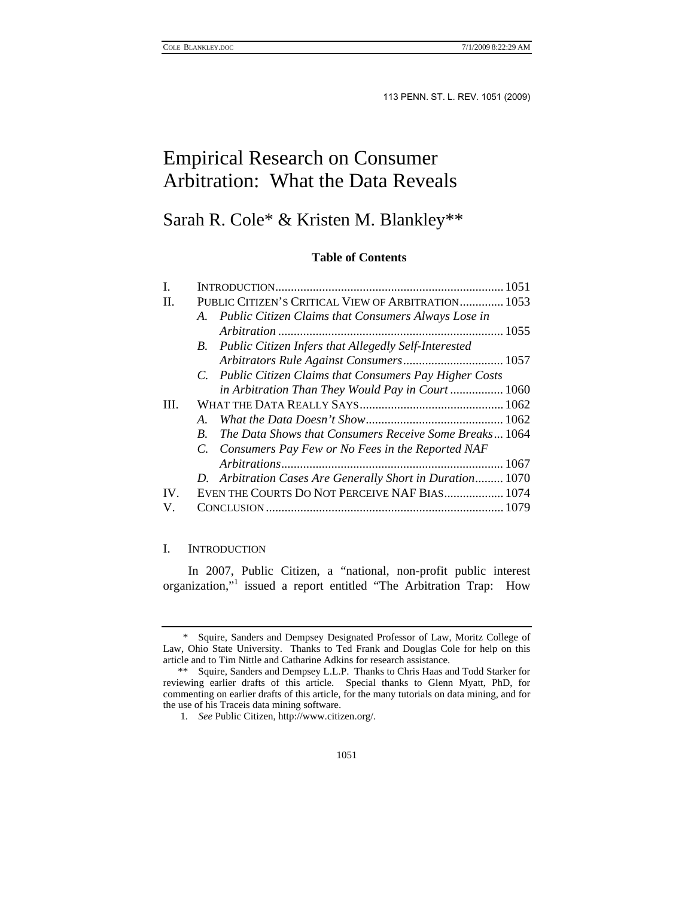## Empirical Research on Consumer Arbitration: What the Data Reveals

## Sarah R. Cole\* & Kristen M. Blankley\*\*

#### **Table of Contents**

| I.   |                                                              |  |
|------|--------------------------------------------------------------|--|
| H.   | PUBLIC CITIZEN'S CRITICAL VIEW OF ARBITRATION 1053           |  |
|      | A. Public Citizen Claims that Consumers Always Lose in       |  |
|      |                                                              |  |
|      | B. Public Citizen Infers that Allegedly Self-Interested      |  |
|      |                                                              |  |
|      | C. Public Citizen Claims that Consumers Pay Higher Costs     |  |
|      | in Arbitration Than They Would Pay in Court 1060             |  |
| III. |                                                              |  |
|      | $A_{-}$                                                      |  |
|      | The Data Shows that Consumers Receive Some Breaks 1064<br>R. |  |
|      | C. Consumers Pay Few or No Fees in the Reported NAF          |  |
|      |                                                              |  |
|      | D. Arbitration Cases Are Generally Short in Duration 1070    |  |
| IV.  | EVEN THE COURTS DO NOT PERCEIVE NAF BIAS 1074                |  |
| V    |                                                              |  |
|      |                                                              |  |

#### I. INTRODUCTION

In 2007, Public Citizen, a "national, non-profit public interest organization,"<sup>1</sup> issued a report entitled "The Arbitration Trap: How

 <sup>\*</sup> Squire, Sanders and Dempsey Designated Professor of Law, Moritz College of Law, Ohio State University. Thanks to Ted Frank and Douglas Cole for help on this article and to Tim Nittle and Catharine Adkins for research assistance.

 <sup>\*\*</sup> Squire, Sanders and Dempsey L.L.P. Thanks to Chris Haas and Todd Starker for reviewing earlier drafts of this article. Special thanks to Glenn Myatt, PhD, for commenting on earlier drafts of this article, for the many tutorials on data mining, and for the use of his Traceis data mining software.

<sup>1</sup>*. See* Public Citizen, http://www.citizen.org/.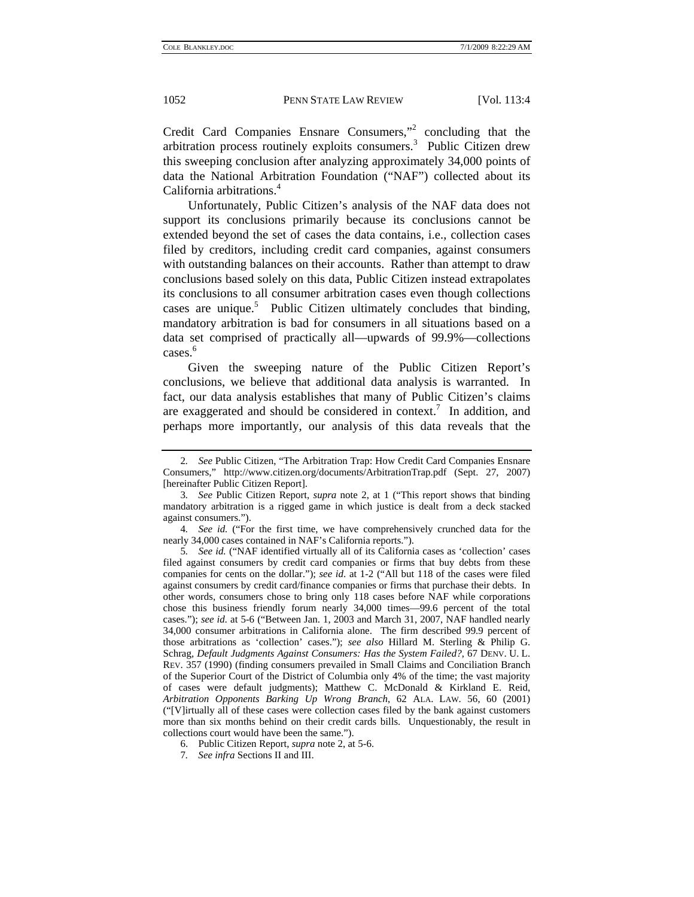Credit Card Companies Ensnare Consumers,"<sup>2</sup> concluding that the arbitration process routinely exploits consumers.<sup>3</sup> Public Citizen drew this sweeping conclusion after analyzing approximately 34,000 points of data the National Arbitration Foundation ("NAF") collected about its California arbitrations.<sup>4</sup>

Unfortunately, Public Citizen's analysis of the NAF data does not support its conclusions primarily because its conclusions cannot be extended beyond the set of cases the data contains, i.e., collection cases filed by creditors, including credit card companies, against consumers with outstanding balances on their accounts. Rather than attempt to draw conclusions based solely on this data, Public Citizen instead extrapolates its conclusions to all consumer arbitration cases even though collections cases are unique.<sup>5</sup> Public Citizen ultimately concludes that binding, mandatory arbitration is bad for consumers in all situations based on a data set comprised of practically all—upwards of 99.9%—collections cases.<sup>6</sup>

Given the sweeping nature of the Public Citizen Report's conclusions, we believe that additional data analysis is warranted. In fact, our data analysis establishes that many of Public Citizen's claims are exaggerated and should be considered in context.<sup>7</sup> In addition, and perhaps more importantly, our analysis of this data reveals that the

4*. See id.* ("For the first time, we have comprehensively crunched data for the nearly 34,000 cases contained in NAF's California reports.").

5*. See id.* ("NAF identified virtually all of its California cases as 'collection' cases filed against consumers by credit card companies or firms that buy debts from these companies for cents on the dollar."); *see id*. at 1-2 ("All but 118 of the cases were filed against consumers by credit card/finance companies or firms that purchase their debts. In other words, consumers chose to bring only 118 cases before NAF while corporations chose this business friendly forum nearly 34,000 times—99.6 percent of the total cases."); *see id.* at 5-6 ("Between Jan. 1, 2003 and March 31, 2007, NAF handled nearly 34,000 consumer arbitrations in California alone. The firm described 99.9 percent of those arbitrations as 'collection' cases."); *see also* Hillard M. Sterling & Philip G. Schrag, *Default Judgments Against Consumers: Has the System Failed?*, 67 DENV. U. L. REV. 357 (1990) (finding consumers prevailed in Small Claims and Conciliation Branch of the Superior Court of the District of Columbia only 4% of the time; the vast majority of cases were default judgments); Matthew C. McDonald & Kirkland E. Reid, *Arbitration Opponents Barking Up Wrong Branch*, 62 ALA. LAW. 56, 60 (2001) ("[V]irtually all of these cases were collection cases filed by the bank against customers more than six months behind on their credit cards bills. Unquestionably, the result in collections court would have been the same.").

- 6. Public Citizen Report, *supra* note 2, at 5-6.
- 7*. See infra* Sections II and III.

<sup>2</sup>*. See* Public Citizen, "The Arbitration Trap: How Credit Card Companies Ensnare Consumers," http://www.citizen.org/documents/ArbitrationTrap.pdf (Sept. 27, 2007) [hereinafter Public Citizen Report].

<sup>3</sup>*. See* Public Citizen Report, *supra* note 2, at 1 ("This report shows that binding mandatory arbitration is a rigged game in which justice is dealt from a deck stacked against consumers.").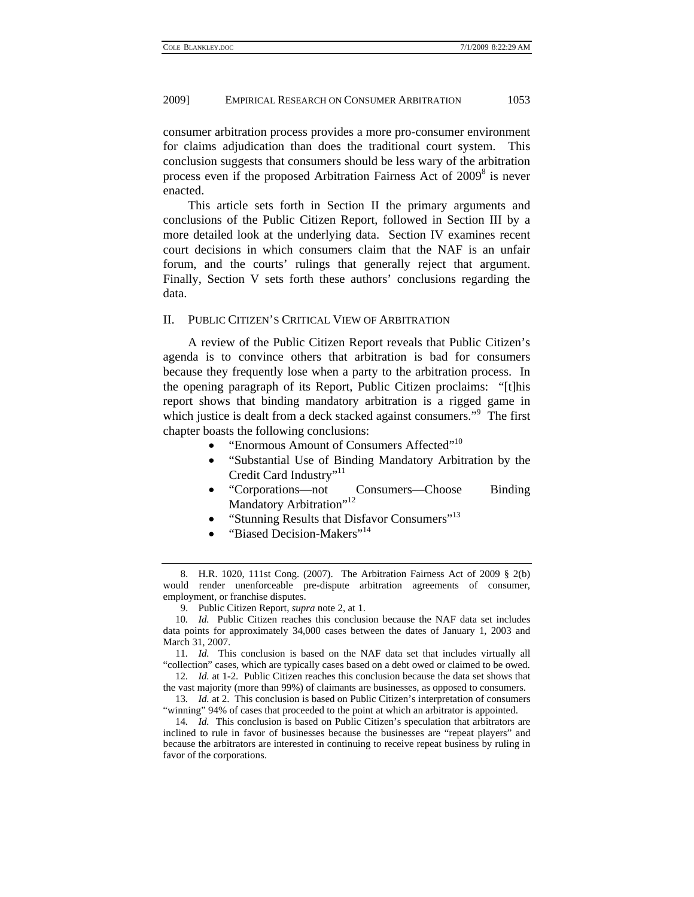consumer arbitration process provides a more pro-consumer environment for claims adjudication than does the traditional court system. This conclusion suggests that consumers should be less wary of the arbitration process even if the proposed Arbitration Fairness Act of 2009<sup>8</sup> is never enacted.

This article sets forth in Section II the primary arguments and conclusions of the Public Citizen Report, followed in Section III by a more detailed look at the underlying data. Section IV examines recent court decisions in which consumers claim that the NAF is an unfair forum, and the courts' rulings that generally reject that argument. Finally, Section V sets forth these authors' conclusions regarding the data.

#### II. PUBLIC CITIZEN'S CRITICAL VIEW OF ARBITRATION

A review of the Public Citizen Report reveals that Public Citizen's agenda is to convince others that arbitration is bad for consumers because they frequently lose when a party to the arbitration process. In the opening paragraph of its Report, Public Citizen proclaims: "[t]his report shows that binding mandatory arbitration is a rigged game in which justice is dealt from a deck stacked against consumers."<sup>9</sup> The first chapter boasts the following conclusions:

- "Enormous Amount of Consumers Affected"10
- "Substantial Use of Binding Mandatory Arbitration by the Credit Card Industry"<sup>11</sup>
- "Corporations—not Consumers—Choose Binding Mandatory Arbitration"<sup>12</sup>
- "Stunning Results that Disfavor Consumers"<sup>13</sup>
- "Biased Decision-Makers"<sup>14</sup>

11*. Id.* This conclusion is based on the NAF data set that includes virtually all "collection" cases, which are typically cases based on a debt owed or claimed to be owed.

 <sup>8.</sup> H.R. 1020, 111st Cong. (2007). The Arbitration Fairness Act of 2009 § 2(b) would render unenforceable pre-dispute arbitration agreements of consumer, employment, or franchise disputes.

 <sup>9.</sup> Public Citizen Report, *supra* note 2, at 1.

<sup>10</sup>*. Id.* Public Citizen reaches this conclusion because the NAF data set includes data points for approximately 34,000 cases between the dates of January 1, 2003 and March 31, 2007.

<sup>12</sup>*. Id.* at 1-2. Public Citizen reaches this conclusion because the data set shows that the vast majority (more than 99%) of claimants are businesses, as opposed to consumers.

<sup>13</sup>*. Id.* at 2. This conclusion is based on Public Citizen's interpretation of consumers "winning" 94% of cases that proceeded to the point at which an arbitrator is appointed.

<sup>14</sup>*. Id.* This conclusion is based on Public Citizen's speculation that arbitrators are inclined to rule in favor of businesses because the businesses are "repeat players" and because the arbitrators are interested in continuing to receive repeat business by ruling in favor of the corporations.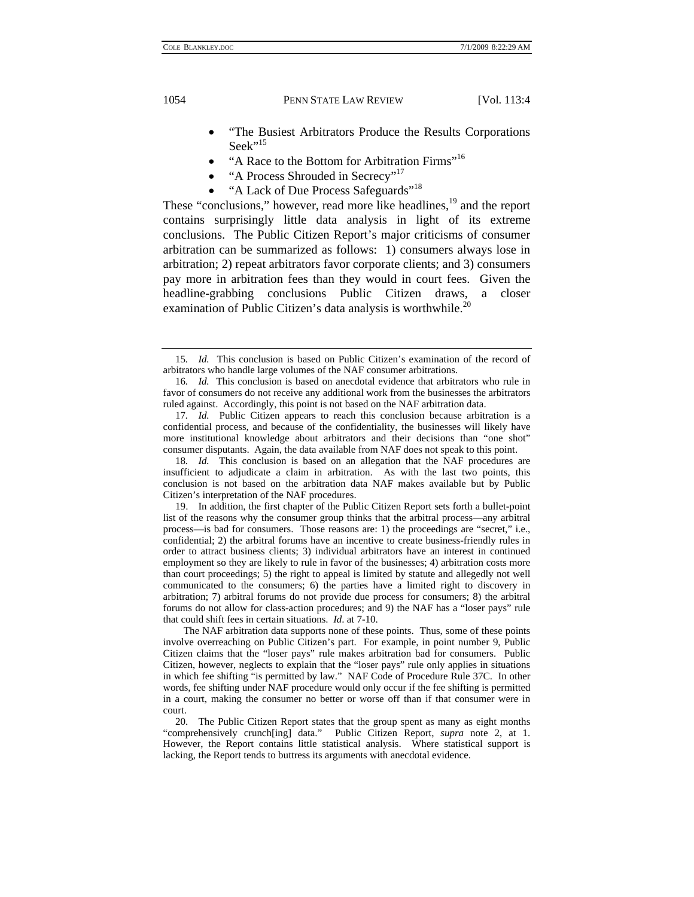- "The Busiest Arbitrators Produce the Results Corporations  $Seek"$ <sup>15</sup>
- "A Race to the Bottom for Arbitration Firms"<sup>16</sup>
- "A Process Shrouded in Secrecy"<sup>17</sup>
- "A Lack of Due Process Safeguards"<sup>18</sup>

These "conclusions," however, read more like headlines,<sup>19</sup> and the report contains surprisingly little data analysis in light of its extreme conclusions. The Public Citizen Report's major criticisms of consumer arbitration can be summarized as follows: 1) consumers always lose in arbitration; 2) repeat arbitrators favor corporate clients; and 3) consumers pay more in arbitration fees than they would in court fees. Given the headline-grabbing conclusions Public Citizen draws, a closer examination of Public Citizen's data analysis is worthwhile.<sup>20</sup>

18*. Id.* This conclusion is based on an allegation that the NAF procedures are insufficient to adjudicate a claim in arbitration. As with the last two points, this conclusion is not based on the arbitration data NAF makes available but by Public Citizen's interpretation of the NAF procedures.

 19. In addition, the first chapter of the Public Citizen Report sets forth a bullet-point list of the reasons why the consumer group thinks that the arbitral process—any arbitral process—is bad for consumers. Those reasons are: 1) the proceedings are "secret," i.e., confidential; 2) the arbitral forums have an incentive to create business-friendly rules in order to attract business clients; 3) individual arbitrators have an interest in continued employment so they are likely to rule in favor of the businesses; 4) arbitration costs more than court proceedings; 5) the right to appeal is limited by statute and allegedly not well communicated to the consumers; 6) the parties have a limited right to discovery in arbitration; 7) arbitral forums do not provide due process for consumers; 8) the arbitral forums do not allow for class-action procedures; and 9) the NAF has a "loser pays" rule that could shift fees in certain situations. *Id*. at 7-10.

The NAF arbitration data supports none of these points. Thus, some of these points involve overreaching on Public Citizen's part. For example, in point number 9, Public Citizen claims that the "loser pays" rule makes arbitration bad for consumers. Public Citizen, however, neglects to explain that the "loser pays" rule only applies in situations in which fee shifting "is permitted by law." NAF Code of Procedure Rule 37C. In other words, fee shifting under NAF procedure would only occur if the fee shifting is permitted in a court, making the consumer no better or worse off than if that consumer were in court.

 20. The Public Citizen Report states that the group spent as many as eight months "comprehensively crunch[ing] data." Public Citizen Report, *supra* note 2, at 1. However, the Report contains little statistical analysis. Where statistical support is lacking, the Report tends to buttress its arguments with anecdotal evidence.

<sup>15</sup>*. Id.* This conclusion is based on Public Citizen's examination of the record of arbitrators who handle large volumes of the NAF consumer arbitrations.

<sup>16</sup>*. Id.* This conclusion is based on anecdotal evidence that arbitrators who rule in favor of consumers do not receive any additional work from the businesses the arbitrators ruled against. Accordingly, this point is not based on the NAF arbitration data.

<sup>17</sup>*. Id.* Public Citizen appears to reach this conclusion because arbitration is a confidential process, and because of the confidentiality, the businesses will likely have more institutional knowledge about arbitrators and their decisions than "one shot" consumer disputants. Again, the data available from NAF does not speak to this point.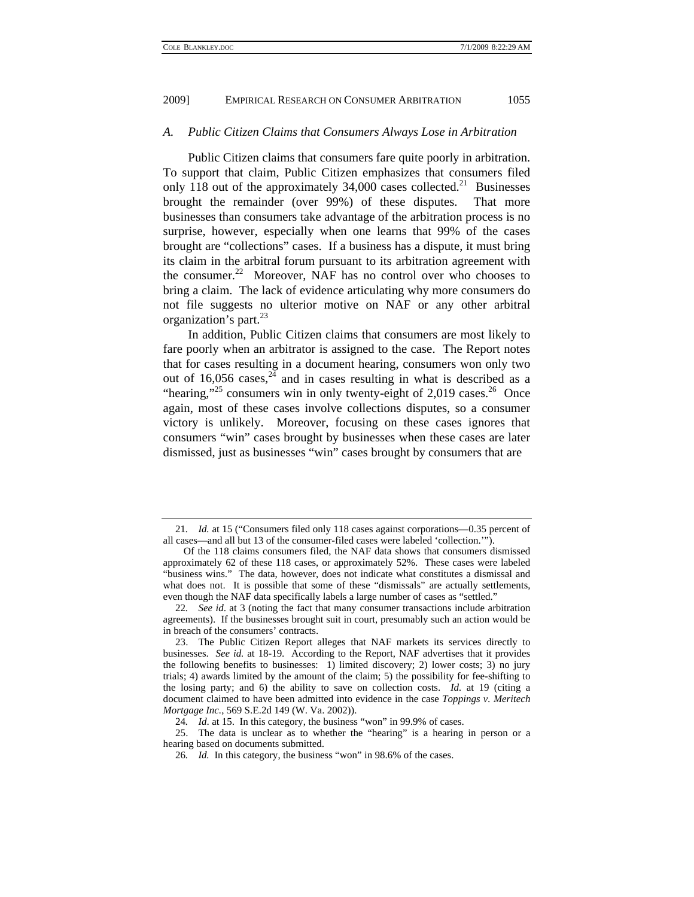#### *A. Public Citizen Claims that Consumers Always Lose in Arbitration*

Public Citizen claims that consumers fare quite poorly in arbitration. To support that claim, Public Citizen emphasizes that consumers filed only 118 out of the approximately  $34,000$  cases collected.<sup>21</sup> Businesses brought the remainder (over 99%) of these disputes. That more businesses than consumers take advantage of the arbitration process is no surprise, however, especially when one learns that 99% of the cases brought are "collections" cases. If a business has a dispute, it must bring its claim in the arbitral forum pursuant to its arbitration agreement with the consumer.<sup>22</sup> Moreover, NAF has no control over who chooses to bring a claim. The lack of evidence articulating why more consumers do not file suggests no ulterior motive on NAF or any other arbitral organization's part.<sup>23</sup>

In addition, Public Citizen claims that consumers are most likely to fare poorly when an arbitrator is assigned to the case. The Report notes that for cases resulting in a document hearing, consumers won only two out of 16,056 cases,  $24$  and in cases resulting in what is described as a "hearing,"<sup>25</sup> consumers win in only twenty-eight of 2,019 cases.<sup>26</sup> Once again, most of these cases involve collections disputes, so a consumer victory is unlikely. Moreover, focusing on these cases ignores that consumers "win" cases brought by businesses when these cases are later dismissed, just as businesses "win" cases brought by consumers that are

<sup>21</sup>*. Id.* at 15 ("Consumers filed only 118 cases against corporations—0.35 percent of all cases—and all but 13 of the consumer-filed cases were labeled 'collection.'").

Of the 118 claims consumers filed, the NAF data shows that consumers dismissed approximately 62 of these 118 cases, or approximately 52%. These cases were labeled "business wins." The data, however, does not indicate what constitutes a dismissal and what does not. It is possible that some of these "dismissals" are actually settlements, even though the NAF data specifically labels a large number of cases as "settled."

<sup>22</sup>*. See id*. at 3 (noting the fact that many consumer transactions include arbitration agreements). If the businesses brought suit in court, presumably such an action would be in breach of the consumers' contracts.

 <sup>23.</sup> The Public Citizen Report alleges that NAF markets its services directly to businesses. *See id.* at 18-19. According to the Report, NAF advertises that it provides the following benefits to businesses: 1) limited discovery; 2) lower costs; 3) no jury trials; 4) awards limited by the amount of the claim; 5) the possibility for fee-shifting to the losing party; and 6) the ability to save on collection costs. *Id.* at 19 (citing a document claimed to have been admitted into evidence in the case *Toppings v. Meritech Mortgage Inc.*, 569 S.E.2d 149 (W. Va. 2002)).

<sup>24</sup>*. Id*. at 15. In this category, the business "won" in 99.9% of cases.

 <sup>25.</sup> The data is unclear as to whether the "hearing" is a hearing in person or a hearing based on documents submitted.

<sup>26</sup>*. Id.* In this category, the business "won" in 98.6% of the cases.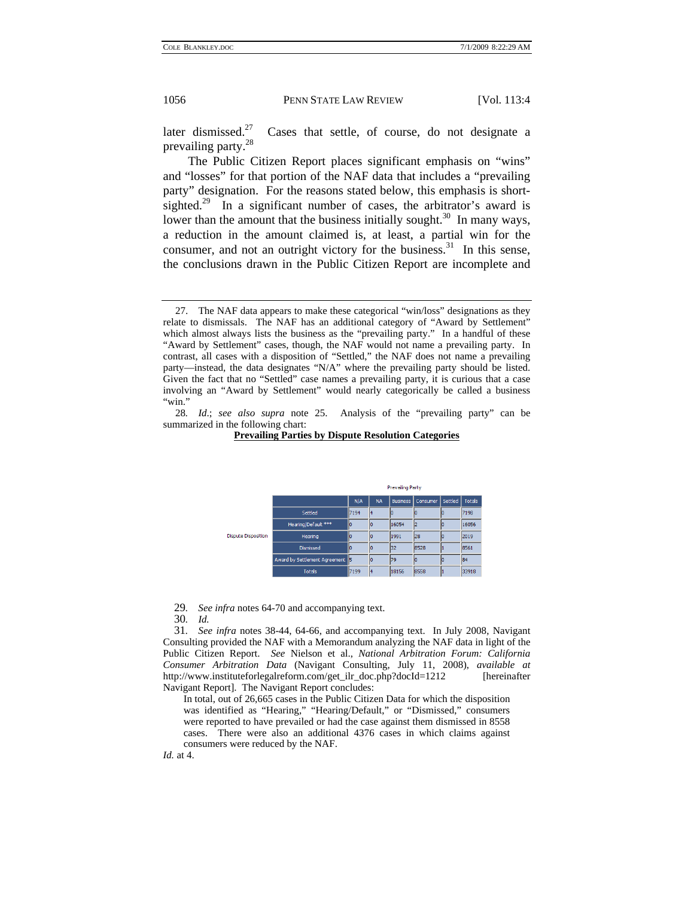later dismissed.<sup>27</sup> Cases that settle, of course, do not designate a prevailing party.28

The Public Citizen Report places significant emphasis on "wins" and "losses" for that portion of the NAF data that includes a "prevailing party" designation. For the reasons stated below, this emphasis is shortsighted.<sup>29</sup> In a significant number of cases, the arbitrator's award is lower than the amount that the business initially sought.<sup>30</sup> In many ways, a reduction in the amount claimed is, at least, a partial win for the consumer, and not an outright victory for the business. $31$  In this sense, the conclusions drawn in the Public Citizen Report are incomplete and

28*. Id*.; *see also supra* note 25. Analysis of the "prevailing party" can be summarized in the following chart:

|                            | Prevailing Party                |            |           |                 |          |         |               |  |
|----------------------------|---------------------------------|------------|-----------|-----------------|----------|---------|---------------|--|
|                            |                                 | <b>N/A</b> | <b>NA</b> | <b>Business</b> | Consumer | Settled | <b>Totals</b> |  |
|                            | Settled                         | 7194       | 4         |                 |          |         | 7198          |  |
|                            | Hearing/Default ***             | lo         |           | 16054           |          |         | 16056         |  |
| <b>Dispute Disposition</b> | Hearing                         |            |           | 1991            | 28       |         | 2019          |  |
|                            | <b>Dismissed</b>                |            |           | 32              | 8528     |         | 8561          |  |
|                            | Award by Settlement Agreement 5 |            | m         | 79              |          |         | 84            |  |
|                            | <b>Totals</b>                   | 7199       | 14        | 18156           | 8558     |         | 33918         |  |

**Prevailing Parties by Dispute Resolution Categories**

29*. See infra* notes 64-70 and accompanying text.

30*. Id.*

31*. See infra* notes 38-44, 64-66, and accompanying text. In July 2008, Navigant Consulting provided the NAF with a Memorandum analyzing the NAF data in light of the Public Citizen Report. *See* Nielson et al., *National Arbitration Forum: California Consumer Arbitration Data* (Navigant Consulting, July 11, 2008), *available at* http://www.instituteforlegalreform.com/get\_ilr\_doc.php?docId=1212 [hereinafter Navigant Report]. The Navigant Report concludes:

In total, out of 26,665 cases in the Public Citizen Data for which the disposition was identified as "Hearing," "Hearing/Default," or "Dismissed," consumers were reported to have prevailed or had the case against them dismissed in 8558 cases. There were also an additional 4376 cases in which claims against consumers were reduced by the NAF.

 <sup>27.</sup> The NAF data appears to make these categorical "win/loss" designations as they relate to dismissals. The NAF has an additional category of "Award by Settlement" which almost always lists the business as the "prevailing party." In a handful of these "Award by Settlement" cases, though, the NAF would not name a prevailing party. In contrast, all cases with a disposition of "Settled," the NAF does not name a prevailing party—instead, the data designates "N/A" where the prevailing party should be listed. Given the fact that no "Settled" case names a prevailing party, it is curious that a case involving an "Award by Settlement" would nearly categorically be called a business "win."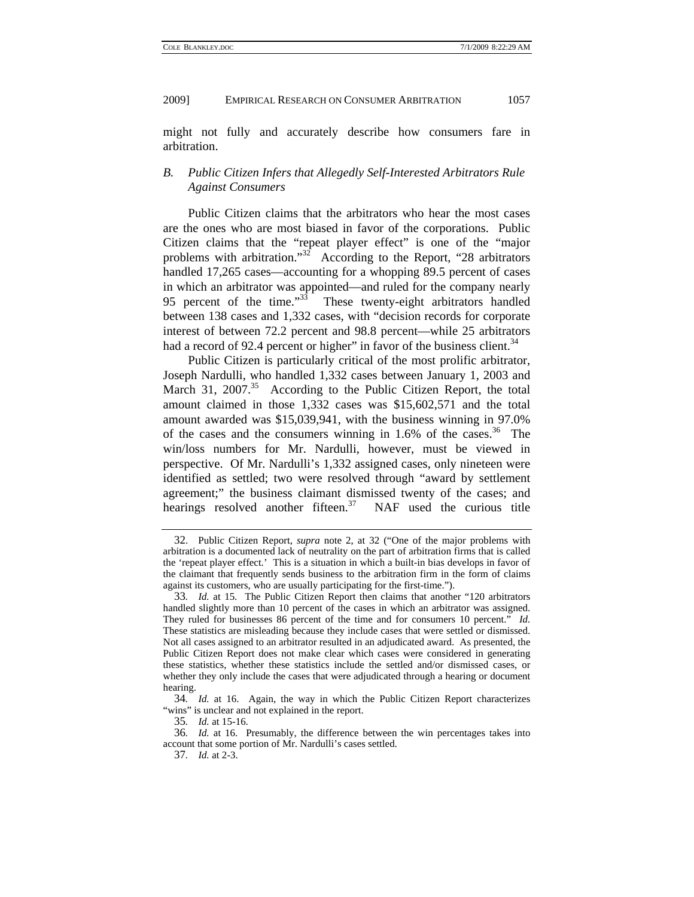might not fully and accurately describe how consumers fare in arbitration.

#### *B. Public Citizen Infers that Allegedly Self-Interested Arbitrators Rule Against Consumers*

Public Citizen claims that the arbitrators who hear the most cases are the ones who are most biased in favor of the corporations. Public Citizen claims that the "repeat player effect" is one of the "major problems with arbitration." $32^{\circ}$  According to the Report, "28 arbitrators" handled 17,265 cases—accounting for a whopping 89.5 percent of cases in which an arbitrator was appointed—and ruled for the company nearly 95 percent of the time. $133$  These twenty-eight arbitrators handled between 138 cases and 1,332 cases, with "decision records for corporate interest of between 72.2 percent and 98.8 percent—while 25 arbitrators had a record of 92.4 percent or higher" in favor of the business client.<sup>34</sup>

Public Citizen is particularly critical of the most prolific arbitrator, Joseph Nardulli, who handled 1,332 cases between January 1, 2003 and March 31, 2007.<sup>35</sup> According to the Public Citizen Report, the total amount claimed in those 1,332 cases was \$15,602,571 and the total amount awarded was \$15,039,941, with the business winning in 97.0% of the cases and the consumers winning in  $1.6\%$  of the cases.<sup>36</sup> The win/loss numbers for Mr. Nardulli, however, must be viewed in perspective. Of Mr. Nardulli's 1,332 assigned cases, only nineteen were identified as settled; two were resolved through "award by settlement agreement;" the business claimant dismissed twenty of the cases; and hearings resolved another fifteen. $37$  NAF used the curious title

<sup>32.</sup> Public Citizen Report, *supra* note 2, at 32 ("One of the major problems with arbitration is a documented lack of neutrality on the part of arbitration firms that is called the 'repeat player effect.' This is a situation in which a built-in bias develops in favor of the claimant that frequently sends business to the arbitration firm in the form of claims against its customers, who are usually participating for the first-time.").

<sup>33</sup>*. Id.* at 15. The Public Citizen Report then claims that another "120 arbitrators handled slightly more than 10 percent of the cases in which an arbitrator was assigned. They ruled for businesses 86 percent of the time and for consumers 10 percent." *Id.* These statistics are misleading because they include cases that were settled or dismissed. Not all cases assigned to an arbitrator resulted in an adjudicated award. As presented, the Public Citizen Report does not make clear which cases were considered in generating these statistics, whether these statistics include the settled and/or dismissed cases, or whether they only include the cases that were adjudicated through a hearing or document hearing.

<sup>34</sup>*. Id.* at 16. Again, the way in which the Public Citizen Report characterizes "wins" is unclear and not explained in the report.

<sup>35</sup>*. Id.* at 15-16.

<sup>36</sup>*. Id.* at 16. Presumably, the difference between the win percentages takes into account that some portion of Mr. Nardulli's cases settled.

<sup>37</sup>*. Id.* at 2-3.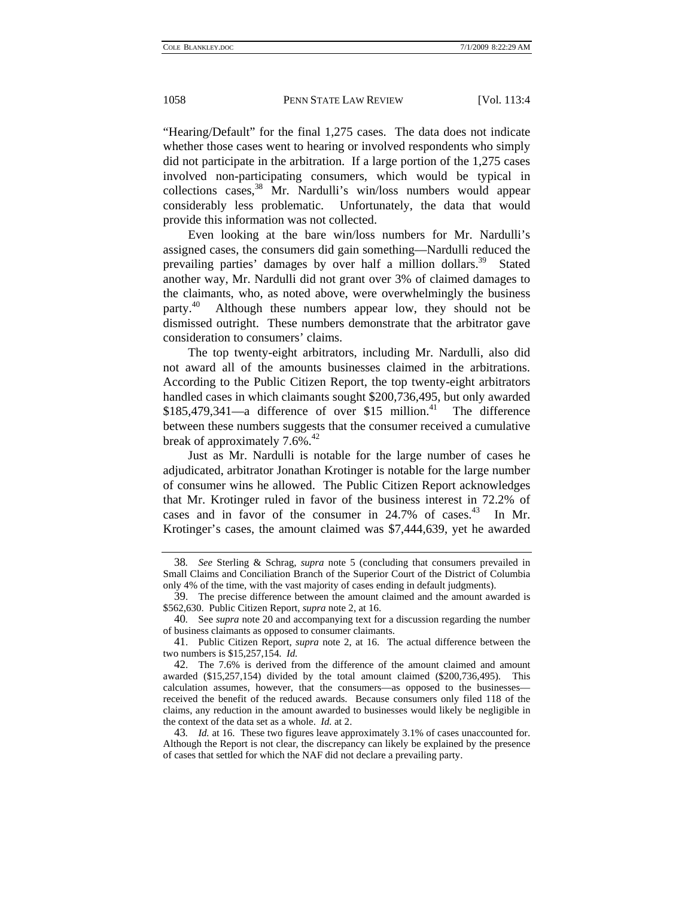"Hearing/Default" for the final 1,275 cases. The data does not indicate whether those cases went to hearing or involved respondents who simply did not participate in the arbitration. If a large portion of the 1,275 cases involved non-participating consumers, which would be typical in collections cases,<sup>38</sup> Mr. Nardulli's win/loss numbers would appear considerably less problematic. Unfortunately, the data that would provide this information was not collected.

Even looking at the bare win/loss numbers for Mr. Nardulli's assigned cases, the consumers did gain something—Nardulli reduced the prevailing parties' damages by over half a million dollars.<sup>39</sup> Stated another way, Mr. Nardulli did not grant over 3% of claimed damages to the claimants, who, as noted above, were overwhelmingly the business party.<sup>40</sup> Although these numbers appear low, they should not be dismissed outright. These numbers demonstrate that the arbitrator gave consideration to consumers' claims.

The top twenty-eight arbitrators, including Mr. Nardulli, also did not award all of the amounts businesses claimed in the arbitrations. According to the Public Citizen Report, the top twenty-eight arbitrators handled cases in which claimants sought \$200,736,495, but only awarded  $$185,479,341$ —a difference of over  $$15$  million.<sup>41</sup> The difference between these numbers suggests that the consumer received a cumulative break of approximately  $7.6\%$ <sup>42</sup>

Just as Mr. Nardulli is notable for the large number of cases he adjudicated, arbitrator Jonathan Krotinger is notable for the large number of consumer wins he allowed. The Public Citizen Report acknowledges that Mr. Krotinger ruled in favor of the business interest in 72.2% of cases and in favor of the consumer in  $24.7\%$  of cases.<sup>43</sup> In Mr. Krotinger's cases, the amount claimed was \$7,444,639, yet he awarded

<sup>38</sup>*. See* Sterling & Schrag, *supra* note 5 (concluding that consumers prevailed in Small Claims and Conciliation Branch of the Superior Court of the District of Columbia only 4% of the time, with the vast majority of cases ending in default judgments).

<sup>39.</sup> The precise difference between the amount claimed and the amount awarded is \$562,630. Public Citizen Report, *supra* note 2, at 16.

<sup>40</sup>*.* See *supra* note 20 and accompanying text for a discussion regarding the number of business claimants as opposed to consumer claimants.

<sup>41.</sup> Public Citizen Report, *supra* note 2, at 16. The actual difference between the two numbers is \$15,257,154. *Id.*

<sup>42.</sup> The 7.6% is derived from the difference of the amount claimed and amount awarded (\$15,257,154) divided by the total amount claimed (\$200,736,495). This calculation assumes, however, that the consumers—as opposed to the businesses received the benefit of the reduced awards. Because consumers only filed 118 of the claims, any reduction in the amount awarded to businesses would likely be negligible in the context of the data set as a whole. *Id.* at 2.

<sup>43</sup>*. Id.* at 16. These two figures leave approximately 3.1% of cases unaccounted for. Although the Report is not clear, the discrepancy can likely be explained by the presence of cases that settled for which the NAF did not declare a prevailing party.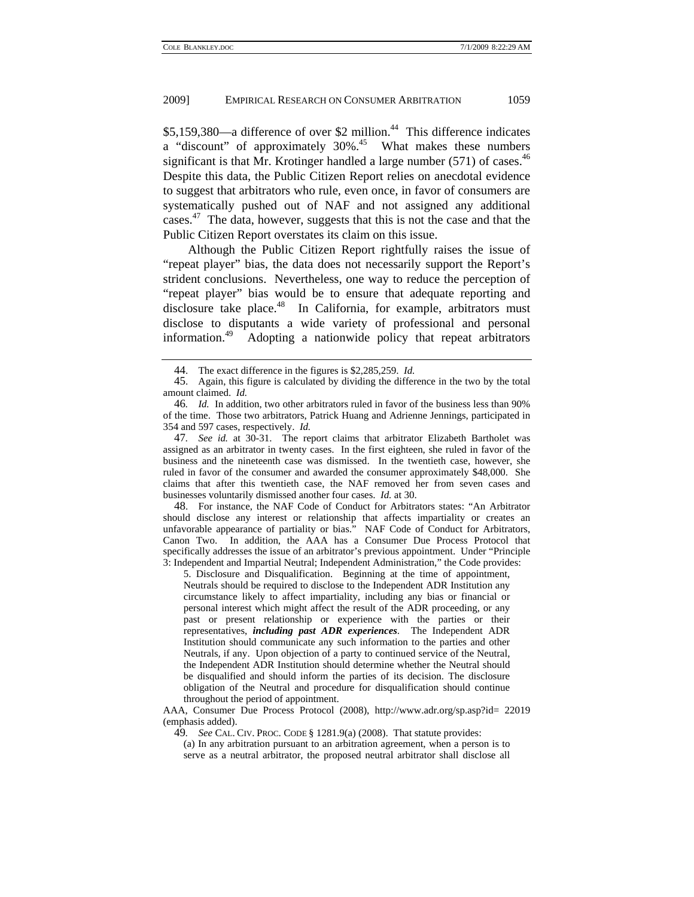\$5,159,380—a difference of over \$2 million.<sup>44</sup> This difference indicates a "discount" of approximately  $30\%$ <sup>45</sup> What makes these numbers significant is that Mr. Krotinger handled a large number  $(571)$  of cases.<sup>46</sup> Despite this data, the Public Citizen Report relies on anecdotal evidence to suggest that arbitrators who rule, even once, in favor of consumers are systematically pushed out of NAF and not assigned any additional cases.47 The data, however, suggests that this is not the case and that the Public Citizen Report overstates its claim on this issue.

Although the Public Citizen Report rightfully raises the issue of "repeat player" bias, the data does not necessarily support the Report's strident conclusions. Nevertheless, one way to reduce the perception of "repeat player" bias would be to ensure that adequate reporting and disclosure take place.<sup>48</sup> In California, for example, arbitrators must disclose to disputants a wide variety of professional and personal information.49 Adopting a nationwide policy that repeat arbitrators

47*. See id.* at 30-31. The report claims that arbitrator Elizabeth Bartholet was assigned as an arbitrator in twenty cases. In the first eighteen, she ruled in favor of the business and the nineteenth case was dismissed. In the twentieth case, however, she ruled in favor of the consumer and awarded the consumer approximately \$48,000. She claims that after this twentieth case, the NAF removed her from seven cases and businesses voluntarily dismissed another four cases. *Id.* at 30.

48. For instance, the NAF Code of Conduct for Arbitrators states: "An Arbitrator should disclose any interest or relationship that affects impartiality or creates an unfavorable appearance of partiality or bias." NAF Code of Conduct for Arbitrators, Canon Two. In addition, the AAA has a Consumer Due Process Protocol that specifically addresses the issue of an arbitrator's previous appointment. Under "Principle 3: Independent and Impartial Neutral; Independent Administration," the Code provides:

5. Disclosure and Disqualification. Beginning at the time of appointment, Neutrals should be required to disclose to the Independent ADR Institution any circumstance likely to affect impartiality, including any bias or financial or personal interest which might affect the result of the ADR proceeding, or any past or present relationship or experience with the parties or their representatives, *including past ADR experiences*. The Independent ADR Institution should communicate any such information to the parties and other Neutrals, if any. Upon objection of a party to continued service of the Neutral, the Independent ADR Institution should determine whether the Neutral should be disqualified and should inform the parties of its decision. The disclosure obligation of the Neutral and procedure for disqualification should continue throughout the period of appointment.

AAA, Consumer Due Process Protocol (2008), http://www.adr.org/sp.asp?id= 22019 (emphasis added).

49*. See* CAL. CIV. PROC. CODE § 1281.9(a) (2008). That statute provides:

(a) In any arbitration pursuant to an arbitration agreement, when a person is to serve as a neutral arbitrator, the proposed neutral arbitrator shall disclose all

<sup>44.</sup> The exact difference in the figures is \$2,285,259. *Id.*

<sup>45.</sup> Again, this figure is calculated by dividing the difference in the two by the total amount claimed. *Id.*

<sup>46</sup>*. Id.* In addition, two other arbitrators ruled in favor of the business less than 90% of the time. Those two arbitrators, Patrick Huang and Adrienne Jennings, participated in 354 and 597 cases, respectively. *Id.*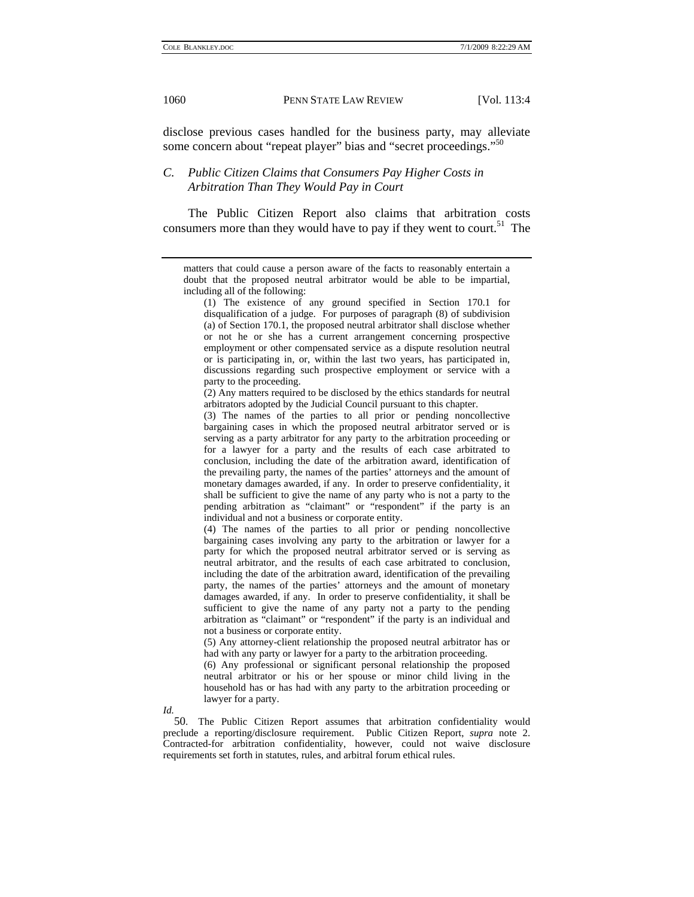disclose previous cases handled for the business party, may alleviate some concern about "repeat player" bias and "secret proceedings."<sup>50</sup>

### *C. Public Citizen Claims that Consumers Pay Higher Costs in Arbitration Than They Would Pay in Court*

The Public Citizen Report also claims that arbitration costs consumers more than they would have to pay if they went to court.<sup>51</sup> The

(2) Any matters required to be disclosed by the ethics standards for neutral arbitrators adopted by the Judicial Council pursuant to this chapter.

(3) The names of the parties to all prior or pending noncollective bargaining cases in which the proposed neutral arbitrator served or is serving as a party arbitrator for any party to the arbitration proceeding or for a lawyer for a party and the results of each case arbitrated to conclusion, including the date of the arbitration award, identification of the prevailing party, the names of the parties' attorneys and the amount of monetary damages awarded, if any. In order to preserve confidentiality, it shall be sufficient to give the name of any party who is not a party to the pending arbitration as "claimant" or "respondent" if the party is an individual and not a business or corporate entity.

(4) The names of the parties to all prior or pending noncollective bargaining cases involving any party to the arbitration or lawyer for a party for which the proposed neutral arbitrator served or is serving as neutral arbitrator, and the results of each case arbitrated to conclusion, including the date of the arbitration award, identification of the prevailing party, the names of the parties' attorneys and the amount of monetary damages awarded, if any. In order to preserve confidentiality, it shall be sufficient to give the name of any party not a party to the pending arbitration as "claimant" or "respondent" if the party is an individual and not a business or corporate entity.

(5) Any attorney-client relationship the proposed neutral arbitrator has or had with any party or lawyer for a party to the arbitration proceeding.

(6) Any professional or significant personal relationship the proposed neutral arbitrator or his or her spouse or minor child living in the household has or has had with any party to the arbitration proceeding or lawyer for a party.

*Id.*

50. The Public Citizen Report assumes that arbitration confidentiality would preclude a reporting/disclosure requirement. Public Citizen Report, *supra* note 2. Contracted-for arbitration confidentiality, however, could not waive disclosure requirements set forth in statutes, rules, and arbitral forum ethical rules.

matters that could cause a person aware of the facts to reasonably entertain a doubt that the proposed neutral arbitrator would be able to be impartial, including all of the following:

<sup>(1)</sup> The existence of any ground specified in Section 170.1 for disqualification of a judge. For purposes of paragraph (8) of subdivision (a) of Section 170.1, the proposed neutral arbitrator shall disclose whether or not he or she has a current arrangement concerning prospective employment or other compensated service as a dispute resolution neutral or is participating in, or, within the last two years, has participated in, discussions regarding such prospective employment or service with a party to the proceeding.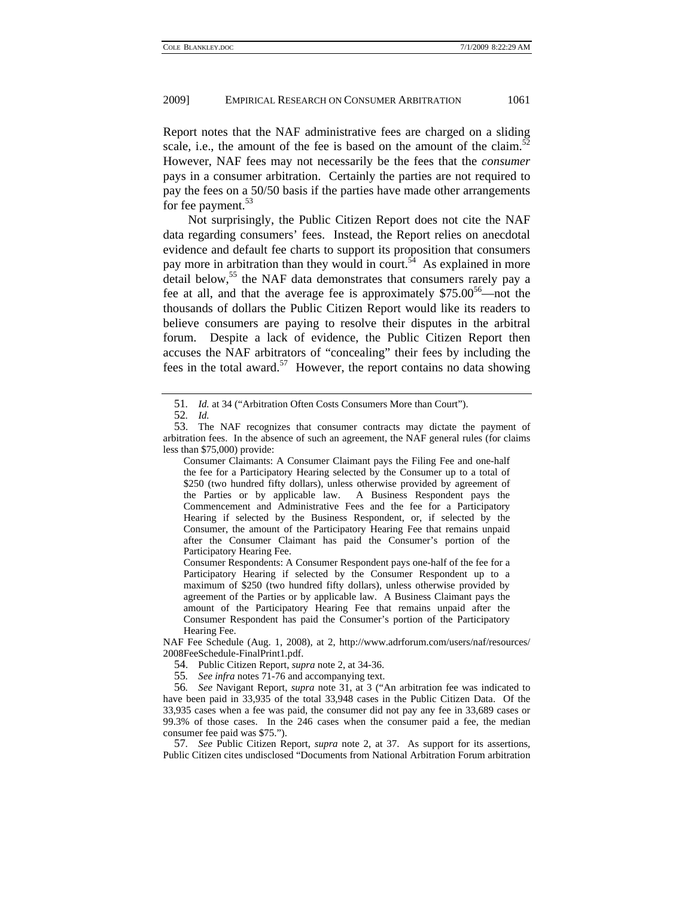Report notes that the NAF administrative fees are charged on a sliding scale, i.e., the amount of the fee is based on the amount of the claim.<sup>52</sup> However, NAF fees may not necessarily be the fees that the *consumer* pays in a consumer arbitration. Certainly the parties are not required to pay the fees on a 50/50 basis if the parties have made other arrangements for fee payment.<sup>53</sup>

Not surprisingly, the Public Citizen Report does not cite the NAF data regarding consumers' fees. Instead, the Report relies on anecdotal evidence and default fee charts to support its proposition that consumers pay more in arbitration than they would in court.<sup>54</sup> As explained in more detail below,<sup>55</sup> the NAF data demonstrates that consumers rarely pay a fee at all, and that the average fee is approximately  $$75.00^{56}$ —not the thousands of dollars the Public Citizen Report would like its readers to believe consumers are paying to resolve their disputes in the arbitral forum. Despite a lack of evidence, the Public Citizen Report then accuses the NAF arbitrators of "concealing" their fees by including the fees in the total award.<sup>57</sup> However, the report contains no data showing

Consumer Claimants: A Consumer Claimant pays the Filing Fee and one-half the fee for a Participatory Hearing selected by the Consumer up to a total of \$250 (two hundred fifty dollars), unless otherwise provided by agreement of the Parties or by applicable law. A Business Respondent pays the Commencement and Administrative Fees and the fee for a Participatory Hearing if selected by the Business Respondent, or, if selected by the Consumer, the amount of the Participatory Hearing Fee that remains unpaid after the Consumer Claimant has paid the Consumer's portion of the Participatory Hearing Fee.

Consumer Respondents: A Consumer Respondent pays one-half of the fee for a Participatory Hearing if selected by the Consumer Respondent up to a maximum of \$250 (two hundred fifty dollars), unless otherwise provided by agreement of the Parties or by applicable law. A Business Claimant pays the amount of the Participatory Hearing Fee that remains unpaid after the Consumer Respondent has paid the Consumer's portion of the Participatory Hearing Fee.

NAF Fee Schedule (Aug. 1, 2008), at 2, http://www.adrforum.com/users/naf/resources/ 2008FeeSchedule-FinalPrint1.pdf.

54. Public Citizen Report, *supra* note 2, at 34-36.

55*. See infra* notes 71-76 and accompanying text.

56*. See* Navigant Report, *supra* note 31, at 3 ("An arbitration fee was indicated to have been paid in 33,935 of the total 33,948 cases in the Public Citizen Data. Of the 33,935 cases when a fee was paid, the consumer did not pay any fee in 33,689 cases or 99.3% of those cases. In the 246 cases when the consumer paid a fee, the median consumer fee paid was \$75.").

57*. See* Public Citizen Report, *supra* note 2, at 37. As support for its assertions, Public Citizen cites undisclosed "Documents from National Arbitration Forum arbitration

<sup>51</sup>*. Id.* at 34 ("Arbitration Often Costs Consumers More than Court").

<sup>52</sup>*. Id.*

<sup>53.</sup> The NAF recognizes that consumer contracts may dictate the payment of arbitration fees. In the absence of such an agreement, the NAF general rules (for claims less than \$75,000) provide: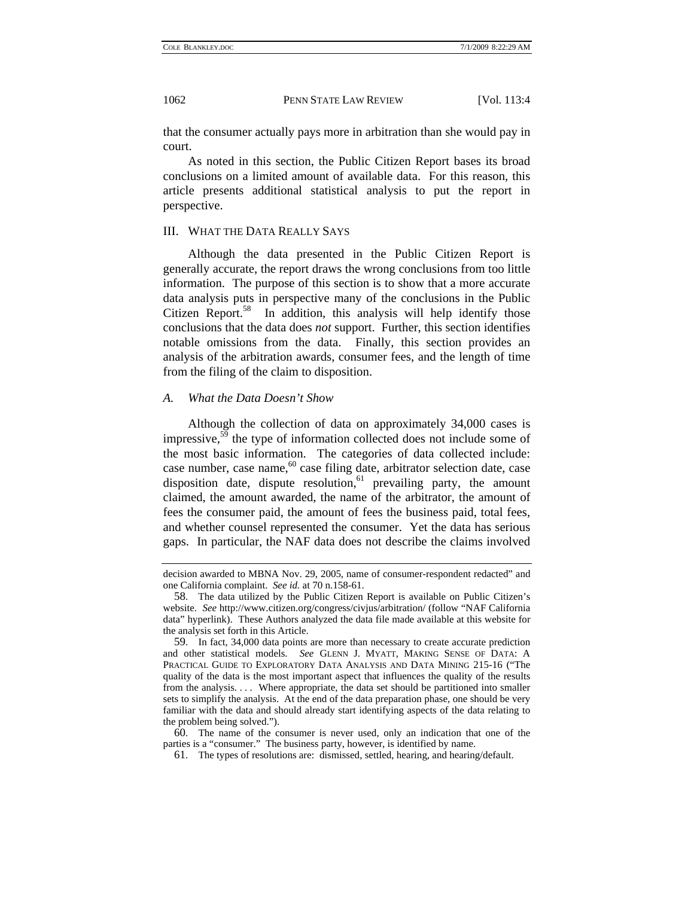that the consumer actually pays more in arbitration than she would pay in court.

As noted in this section, the Public Citizen Report bases its broad conclusions on a limited amount of available data. For this reason, this article presents additional statistical analysis to put the report in perspective.

#### III. WHAT THE DATA REALLY SAYS

Although the data presented in the Public Citizen Report is generally accurate, the report draws the wrong conclusions from too little information. The purpose of this section is to show that a more accurate data analysis puts in perspective many of the conclusions in the Public Citizen Report.<sup>58</sup> In addition, this analysis will help identify those conclusions that the data does *not* support. Further, this section identifies notable omissions from the data. Finally, this section provides an analysis of the arbitration awards, consumer fees, and the length of time from the filing of the claim to disposition.

#### *A. What the Data Doesn't Show*

Although the collection of data on approximately 34,000 cases is impressive,  $59$  the type of information collected does not include some of the most basic information. The categories of data collected include: case number, case name,<sup>60</sup> case filing date, arbitrator selection date, case disposition date, dispute resolution, $61$  prevailing party, the amount claimed, the amount awarded, the name of the arbitrator, the amount of fees the consumer paid, the amount of fees the business paid, total fees, and whether counsel represented the consumer. Yet the data has serious gaps. In particular, the NAF data does not describe the claims involved

decision awarded to MBNA Nov. 29, 2005, name of consumer-respondent redacted" and one California complaint. *See id.* at 70 n.158-61.

<sup>58.</sup> The data utilized by the Public Citizen Report is available on Public Citizen's website. *See* http://www.citizen.org/congress/civjus/arbitration/ (follow "NAF California data" hyperlink). These Authors analyzed the data file made available at this website for the analysis set forth in this Article.

<sup>59.</sup> In fact, 34,000 data points are more than necessary to create accurate prediction and other statistical models. *See* GLENN J. MYATT, MAKING SENSE OF DATA: A PRACTICAL GUIDE TO EXPLORATORY DATA ANALYSIS AND DATA MINING 215-16 ("The quality of the data is the most important aspect that influences the quality of the results from the analysis. . . . Where appropriate, the data set should be partitioned into smaller sets to simplify the analysis. At the end of the data preparation phase, one should be very familiar with the data and should already start identifying aspects of the data relating to the problem being solved.").

<sup>60.</sup> The name of the consumer is never used, only an indication that one of the parties is a "consumer." The business party, however, is identified by name.

<sup>61.</sup> The types of resolutions are: dismissed, settled, hearing, and hearing/default.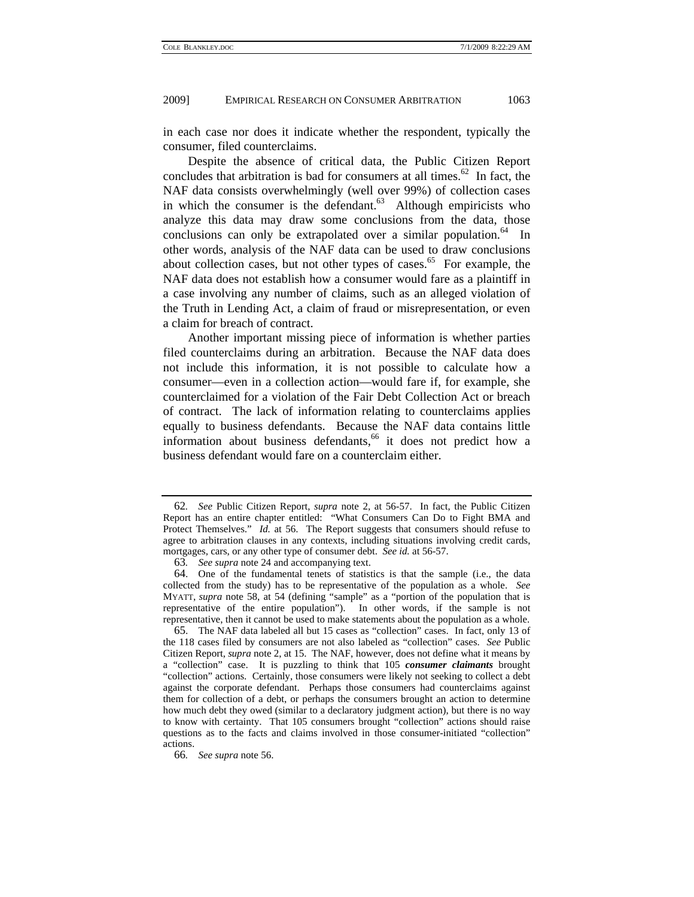in each case nor does it indicate whether the respondent, typically the consumer, filed counterclaims.

Despite the absence of critical data, the Public Citizen Report concludes that arbitration is bad for consumers at all times. $62$  In fact, the NAF data consists overwhelmingly (well over 99%) of collection cases in which the consumer is the defendant. $63$  Although empiricists who analyze this data may draw some conclusions from the data, those conclusions can only be extrapolated over a similar population.<sup>64</sup> In other words, analysis of the NAF data can be used to draw conclusions about collection cases, but not other types of cases.<sup>65</sup> For example, the NAF data does not establish how a consumer would fare as a plaintiff in a case involving any number of claims, such as an alleged violation of the Truth in Lending Act, a claim of fraud or misrepresentation, or even a claim for breach of contract.

Another important missing piece of information is whether parties filed counterclaims during an arbitration. Because the NAF data does not include this information, it is not possible to calculate how a consumer—even in a collection action—would fare if, for example, she counterclaimed for a violation of the Fair Debt Collection Act or breach of contract. The lack of information relating to counterclaims applies equally to business defendants. Because the NAF data contains little information about business defendants,<sup>66</sup> it does not predict how a business defendant would fare on a counterclaim either.

65. The NAF data labeled all but 15 cases as "collection" cases. In fact, only 13 of the 118 cases filed by consumers are not also labeled as "collection" cases. *See* Public Citizen Report, *supra* note 2, at 15. The NAF, however, does not define what it means by a "collection" case. It is puzzling to think that 105 *consumer claimants* brought "collection" actions. Certainly, those consumers were likely not seeking to collect a debt against the corporate defendant. Perhaps those consumers had counterclaims against them for collection of a debt, or perhaps the consumers brought an action to determine how much debt they owed (similar to a declaratory judgment action), but there is no way to know with certainty. That 105 consumers brought "collection" actions should raise questions as to the facts and claims involved in those consumer-initiated "collection" actions.

66*. See supra* note 56.

<sup>62</sup>*. See* Public Citizen Report, *supra* note 2, at 56-57. In fact, the Public Citizen Report has an entire chapter entitled: "What Consumers Can Do to Fight BMA and Protect Themselves." *Id.* at 56. The Report suggests that consumers should refuse to agree to arbitration clauses in any contexts, including situations involving credit cards, mortgages, cars, or any other type of consumer debt. *See id.* at 56-57.

<sup>63</sup>*. See supra* note 24 and accompanying text.

<sup>64.</sup> One of the fundamental tenets of statistics is that the sample (i.e., the data collected from the study) has to be representative of the population as a whole. *See* MYATT, *supra* note 58, at 54 (defining "sample" as a "portion of the population that is representative of the entire population"). In other words, if the sample is not representative, then it cannot be used to make statements about the population as a whole.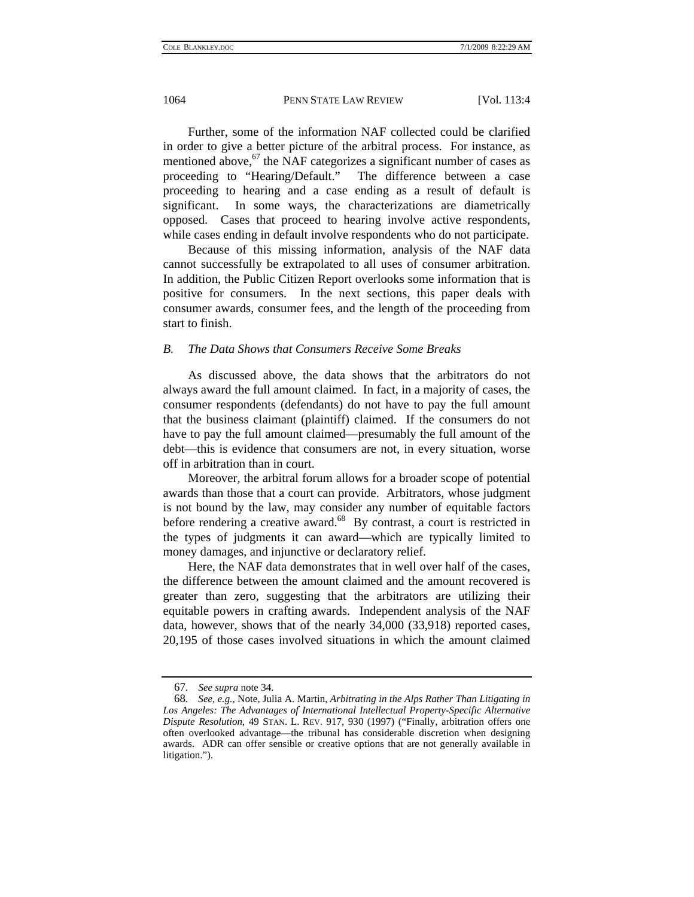Further, some of the information NAF collected could be clarified in order to give a better picture of the arbitral process. For instance, as mentioned above,  $67$  the NAF categorizes a significant number of cases as proceeding to "Hearing/Default." The difference between a case proceeding to hearing and a case ending as a result of default is significant. In some ways, the characterizations are diametrically opposed. Cases that proceed to hearing involve active respondents, while cases ending in default involve respondents who do not participate.

Because of this missing information, analysis of the NAF data cannot successfully be extrapolated to all uses of consumer arbitration. In addition, the Public Citizen Report overlooks some information that is positive for consumers. In the next sections, this paper deals with consumer awards, consumer fees, and the length of the proceeding from start to finish.

#### *B. The Data Shows that Consumers Receive Some Breaks*

As discussed above, the data shows that the arbitrators do not always award the full amount claimed. In fact, in a majority of cases, the consumer respondents (defendants) do not have to pay the full amount that the business claimant (plaintiff) claimed. If the consumers do not have to pay the full amount claimed—presumably the full amount of the debt—this is evidence that consumers are not, in every situation, worse off in arbitration than in court.

Moreover, the arbitral forum allows for a broader scope of potential awards than those that a court can provide. Arbitrators, whose judgment is not bound by the law, may consider any number of equitable factors before rendering a creative award. $68$  By contrast, a court is restricted in the types of judgments it can award—which are typically limited to money damages, and injunctive or declaratory relief.

Here, the NAF data demonstrates that in well over half of the cases, the difference between the amount claimed and the amount recovered is greater than zero, suggesting that the arbitrators are utilizing their equitable powers in crafting awards. Independent analysis of the NAF data, however, shows that of the nearly 34,000 (33,918) reported cases, 20,195 of those cases involved situations in which the amount claimed

<sup>67</sup>*. See supra* note 34.

<sup>68</sup>*. See, e.g.*, Note, Julia A. Martin, *Arbitrating in the Alps Rather Than Litigating in Los Angeles: The Advantages of International Intellectual Property-Specific Alternative Dispute Resolution*, 49 STAN. L. REV. 917, 930 (1997) ("Finally, arbitration offers one often overlooked advantage—the tribunal has considerable discretion when designing awards. ADR can offer sensible or creative options that are not generally available in litigation.").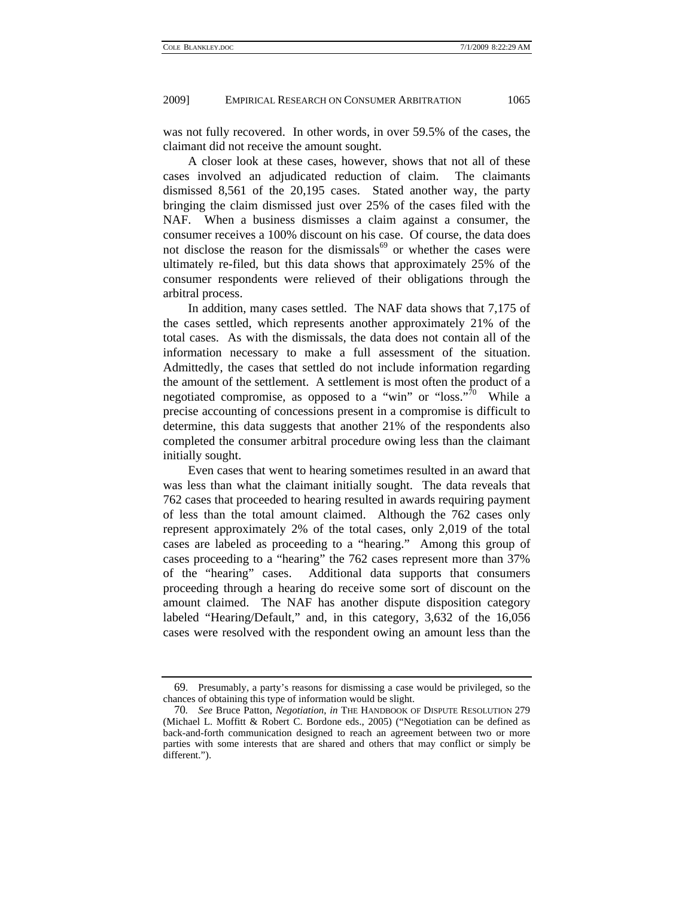was not fully recovered. In other words, in over 59.5% of the cases, the claimant did not receive the amount sought.

A closer look at these cases, however, shows that not all of these cases involved an adjudicated reduction of claim. The claimants dismissed 8,561 of the 20,195 cases. Stated another way, the party bringing the claim dismissed just over 25% of the cases filed with the NAF. When a business dismisses a claim against a consumer, the consumer receives a 100% discount on his case. Of course, the data does not disclose the reason for the dismissals $^{69}$  or whether the cases were ultimately re-filed, but this data shows that approximately 25% of the consumer respondents were relieved of their obligations through the arbitral process.

In addition, many cases settled. The NAF data shows that 7,175 of the cases settled, which represents another approximately 21% of the total cases. As with the dismissals, the data does not contain all of the information necessary to make a full assessment of the situation. Admittedly, the cases that settled do not include information regarding the amount of the settlement. A settlement is most often the product of a negotiated compromise, as opposed to a "win" or "loss." $\overline{70}$  While a precise accounting of concessions present in a compromise is difficult to determine, this data suggests that another 21% of the respondents also completed the consumer arbitral procedure owing less than the claimant initially sought.

Even cases that went to hearing sometimes resulted in an award that was less than what the claimant initially sought. The data reveals that 762 cases that proceeded to hearing resulted in awards requiring payment of less than the total amount claimed. Although the 762 cases only represent approximately 2% of the total cases, only 2,019 of the total cases are labeled as proceeding to a "hearing." Among this group of cases proceeding to a "hearing" the 762 cases represent more than 37% of the "hearing" cases. Additional data supports that consumers proceeding through a hearing do receive some sort of discount on the amount claimed. The NAF has another dispute disposition category labeled "Hearing/Default," and, in this category, 3,632 of the 16,056 cases were resolved with the respondent owing an amount less than the

<sup>69.</sup> Presumably, a party's reasons for dismissing a case would be privileged, so the chances of obtaining this type of information would be slight.

<sup>70</sup>*. See* Bruce Patton, *Negotiation*, *in* THE HANDBOOK OF DISPUTE RESOLUTION 279 (Michael L. Moffitt & Robert C. Bordone eds., 2005) ("Negotiation can be defined as back-and-forth communication designed to reach an agreement between two or more parties with some interests that are shared and others that may conflict or simply be different.").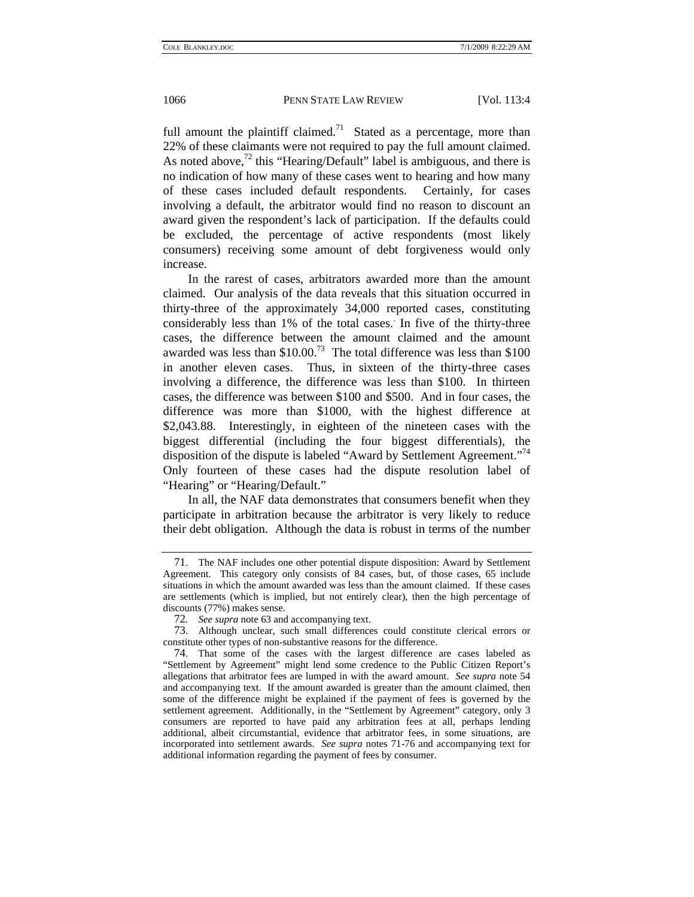full amount the plaintiff claimed.<sup>71</sup> Stated as a percentage, more than 22% of these claimants were not required to pay the full amount claimed. As noted above,<sup>72</sup> this "Hearing/Default" label is ambiguous, and there is no indication of how many of these cases went to hearing and how many of these cases included default respondents. Certainly, for cases involving a default, the arbitrator would find no reason to discount an award given the respondent's lack of participation. If the defaults could be excluded, the percentage of active respondents (most likely consumers) receiving some amount of debt forgiveness would only increase.

In the rarest of cases, arbitrators awarded more than the amount claimed. Our analysis of the data reveals that this situation occurred in thirty-three of the approximately 34,000 reported cases, constituting considerably less than 1% of the total cases. In five of the thirty-three cases, the difference between the amount claimed and the amount awarded was less than  $$10.00<sup>73</sup>$  The total difference was less than  $$100$ in another eleven cases. Thus, in sixteen of the thirty-three cases involving a difference, the difference was less than \$100. In thirteen cases, the difference was between \$100 and \$500. And in four cases, the difference was more than \$1000, with the highest difference at \$2,043.88. Interestingly, in eighteen of the nineteen cases with the biggest differential (including the four biggest differentials), the disposition of the dispute is labeled "Award by Settlement Agreement."<sup>74</sup> Only fourteen of these cases had the dispute resolution label of "Hearing" or "Hearing/Default."

In all, the NAF data demonstrates that consumers benefit when they participate in arbitration because the arbitrator is very likely to reduce their debt obligation. Although the data is robust in terms of the number

<sup>71.</sup> The NAF includes one other potential dispute disposition: Award by Settlement Agreement. This category only consists of 84 cases, but, of those cases, 65 include situations in which the amount awarded was less than the amount claimed. If these cases are settlements (which is implied, but not entirely clear), then the high percentage of discounts (77%) makes sense.

<sup>72</sup>*. See supra* note 63 and accompanying text.

<sup>73.</sup> Although unclear, such small differences could constitute clerical errors or constitute other types of non-substantive reasons for the difference.

<sup>74.</sup> That some of the cases with the largest difference are cases labeled as "Settlement by Agreement" might lend some credence to the Public Citizen Report's allegations that arbitrator fees are lumped in with the award amount. *See supra* note 54 and accompanying text. If the amount awarded is greater than the amount claimed, then some of the difference might be explained if the payment of fees is governed by the settlement agreement. Additionally, in the "Settlement by Agreement" category, only 3 consumers are reported to have paid any arbitration fees at all, perhaps lending additional, albeit circumstantial, evidence that arbitrator fees, in some situations, are incorporated into settlement awards. *See supra* notes 71-76 and accompanying text for additional information regarding the payment of fees by consumer.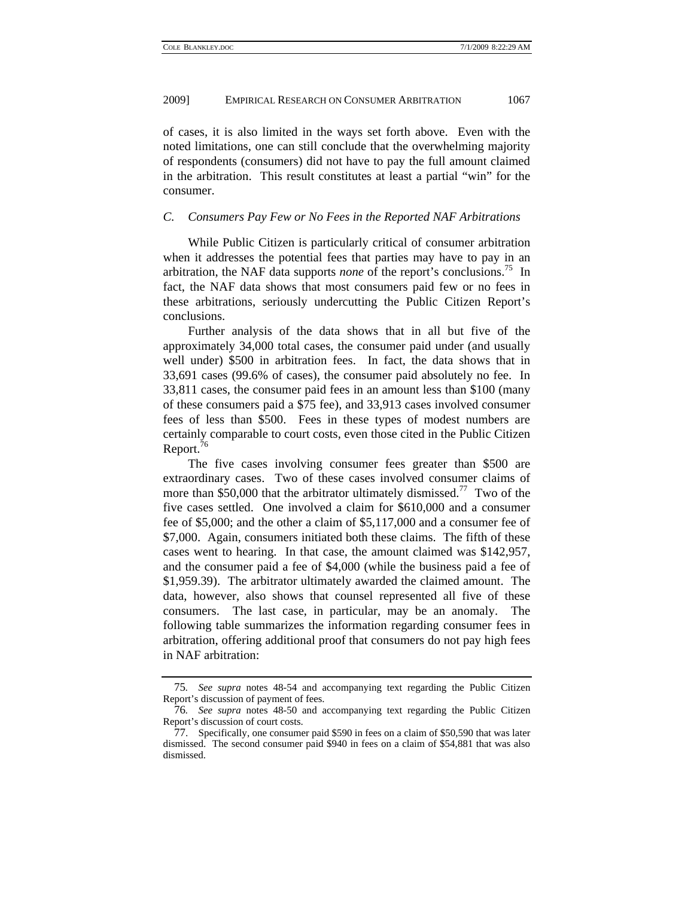of cases, it is also limited in the ways set forth above. Even with the noted limitations, one can still conclude that the overwhelming majority of respondents (consumers) did not have to pay the full amount claimed in the arbitration. This result constitutes at least a partial "win" for the consumer.

#### *C. Consumers Pay Few or No Fees in the Reported NAF Arbitrations*

While Public Citizen is particularly critical of consumer arbitration when it addresses the potential fees that parties may have to pay in an arbitration, the NAF data supports *none* of the report's conclusions.75 In fact, the NAF data shows that most consumers paid few or no fees in these arbitrations, seriously undercutting the Public Citizen Report's conclusions.

Further analysis of the data shows that in all but five of the approximately 34,000 total cases, the consumer paid under (and usually well under) \$500 in arbitration fees. In fact, the data shows that in 33,691 cases (99.6% of cases), the consumer paid absolutely no fee. In 33,811 cases, the consumer paid fees in an amount less than \$100 (many of these consumers paid a \$75 fee), and 33,913 cases involved consumer fees of less than \$500. Fees in these types of modest numbers are certainly comparable to court costs, even those cited in the Public Citizen Report. $76$ 

The five cases involving consumer fees greater than \$500 are extraordinary cases. Two of these cases involved consumer claims of more than \$50,000 that the arbitrator ultimately dismissed.<sup>77</sup> Two of the five cases settled. One involved a claim for \$610,000 and a consumer fee of \$5,000; and the other a claim of \$5,117,000 and a consumer fee of \$7,000. Again, consumers initiated both these claims. The fifth of these cases went to hearing. In that case, the amount claimed was \$142,957, and the consumer paid a fee of \$4,000 (while the business paid a fee of \$1,959.39). The arbitrator ultimately awarded the claimed amount. The data, however, also shows that counsel represented all five of these consumers. The last case, in particular, may be an anomaly. The following table summarizes the information regarding consumer fees in arbitration, offering additional proof that consumers do not pay high fees in NAF arbitration:

<sup>75</sup>*. See supra* notes 48-54 and accompanying text regarding the Public Citizen Report's discussion of payment of fees.

<sup>76</sup>*. See supra* notes 48-50 and accompanying text regarding the Public Citizen Report's discussion of court costs.

<sup>77.</sup> Specifically, one consumer paid \$590 in fees on a claim of \$50,590 that was later dismissed. The second consumer paid \$940 in fees on a claim of \$54,881 that was also dismissed.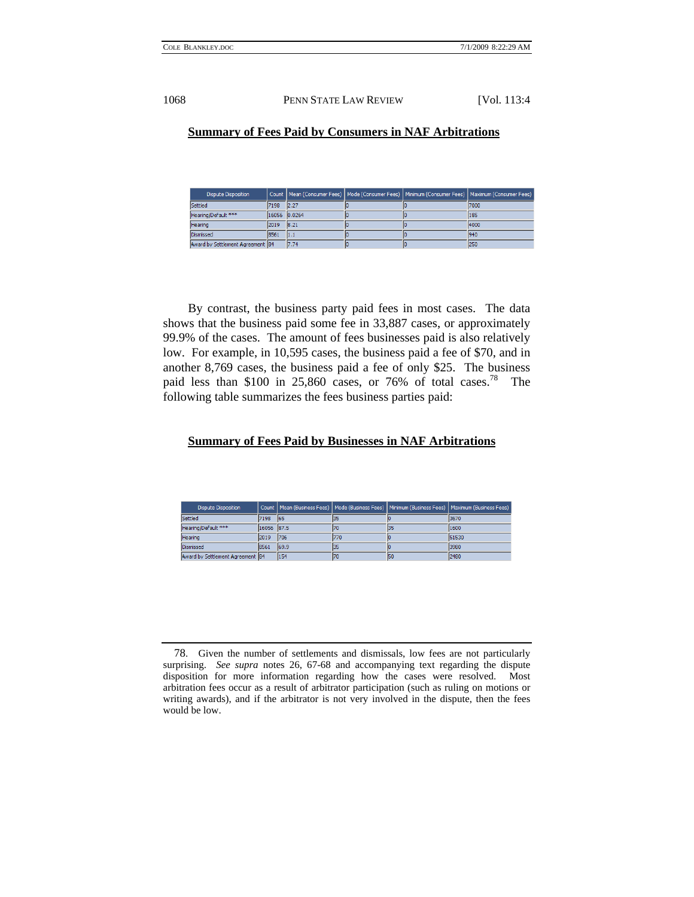### **Summary of Fees Paid by Consumers in NAF Arbitrations**

| <b>Dispute Disposition</b>        |              |              |  | Count   Mean (Consumer Fees)   Mode (Consumer Fees)   Minimum (Consumer Fees)   Maximum (Consumer Fees) |
|-----------------------------------|--------------|--------------|--|---------------------------------------------------------------------------------------------------------|
| <b>Settled</b>                    | 7198         | 2.27         |  | 7000                                                                                                    |
| Hearing/Default ***               | 16056 0.0264 |              |  | 185                                                                                                     |
| <b>Hearing</b>                    | 2019         | 8.21         |  | 4000                                                                                                    |
| <b>IDismissed</b>                 | 8561         |              |  | 1940                                                                                                    |
| Award by Cottlement Agreement 104 |              | <b>17.74</b> |  | loco                                                                                                    |

 By contrast, the business party paid fees in most cases. The data shows that the business paid some fee in 33,887 cases, or approximately 99.9% of the cases. The amount of fees businesses paid is also relatively low. For example, in 10,595 cases, the business paid a fee of \$70, and in another 8,769 cases, the business paid a fee of only \$25. The business paid less than \$100 in 25,860 cases, or 76% of total cases.<sup>78</sup> The following table summarizes the fees business parties paid:

#### **Summary of Fees Paid by Businesses in NAF Arbitrations**

| <b>Dispute Disposition</b>       |            |      |     |     | Count   Mean (Business Fees)   Mode (Business Fees)   Minimum (Business Fees)   Maximum (Business Fees) |
|----------------------------------|------------|------|-----|-----|---------------------------------------------------------------------------------------------------------|
| <b>Settled</b>                   | 7198       | 165  | 135 |     | 3670                                                                                                    |
| Hearing/Default ***              | 16056 87.5 |      | 170 |     | 1600                                                                                                    |
| lHearing                         | 2019       | 706  | 770 |     | 51530                                                                                                   |
| <b>Dismissed</b>                 | 8561       | 69.9 | 135 |     | 3980                                                                                                    |
| Award by Settlement Agreement 84 |            | 154  | 170 | 150 | 2480                                                                                                    |

<sup>78.</sup> Given the number of settlements and dismissals, low fees are not particularly surprising. *See supra* notes 26, 67-68 and accompanying text regarding the dispute disposition for more information regarding how the cases were resolved. Most arbitration fees occur as a result of arbitrator participation (such as ruling on motions or writing awards), and if the arbitrator is not very involved in the dispute, then the fees would be low.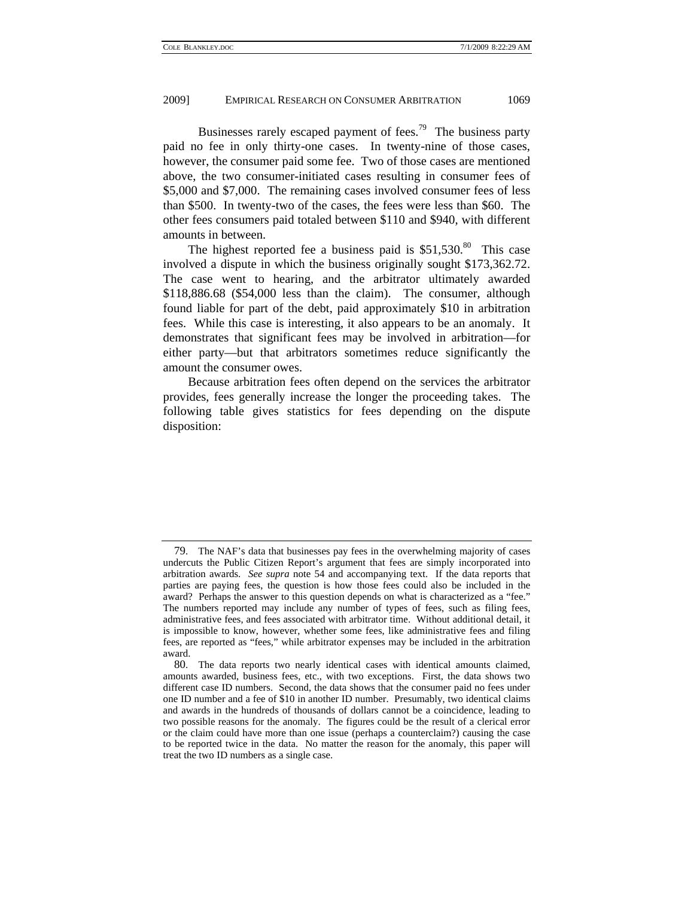Businesses rarely escaped payment of fees.<sup>79</sup> The business party paid no fee in only thirty-one cases. In twenty-nine of those cases, however, the consumer paid some fee. Two of those cases are mentioned above, the two consumer-initiated cases resulting in consumer fees of \$5,000 and \$7,000. The remaining cases involved consumer fees of less than \$500. In twenty-two of the cases, the fees were less than \$60. The other fees consumers paid totaled between \$110 and \$940, with different amounts in between.

The highest reported fee a business paid is  $$51,530$ .<sup>80</sup> This case involved a dispute in which the business originally sought \$173,362.72. The case went to hearing, and the arbitrator ultimately awarded \$118,886.68 (\$54,000 less than the claim). The consumer, although found liable for part of the debt, paid approximately \$10 in arbitration fees. While this case is interesting, it also appears to be an anomaly. It demonstrates that significant fees may be involved in arbitration—for either party—but that arbitrators sometimes reduce significantly the amount the consumer owes.

Because arbitration fees often depend on the services the arbitrator provides, fees generally increase the longer the proceeding takes. The following table gives statistics for fees depending on the dispute disposition:

<sup>79.</sup> The NAF's data that businesses pay fees in the overwhelming majority of cases undercuts the Public Citizen Report's argument that fees are simply incorporated into arbitration awards. *See supra* note 54 and accompanying text. If the data reports that parties are paying fees, the question is how those fees could also be included in the award? Perhaps the answer to this question depends on what is characterized as a "fee." The numbers reported may include any number of types of fees, such as filing fees, administrative fees, and fees associated with arbitrator time. Without additional detail, it is impossible to know, however, whether some fees, like administrative fees and filing fees, are reported as "fees," while arbitrator expenses may be included in the arbitration award.

<sup>80.</sup> The data reports two nearly identical cases with identical amounts claimed, amounts awarded, business fees, etc., with two exceptions. First, the data shows two different case ID numbers. Second, the data shows that the consumer paid no fees under one ID number and a fee of \$10 in another ID number. Presumably, two identical claims and awards in the hundreds of thousands of dollars cannot be a coincidence, leading to two possible reasons for the anomaly. The figures could be the result of a clerical error or the claim could have more than one issue (perhaps a counterclaim?) causing the case to be reported twice in the data. No matter the reason for the anomaly, this paper will treat the two ID numbers as a single case.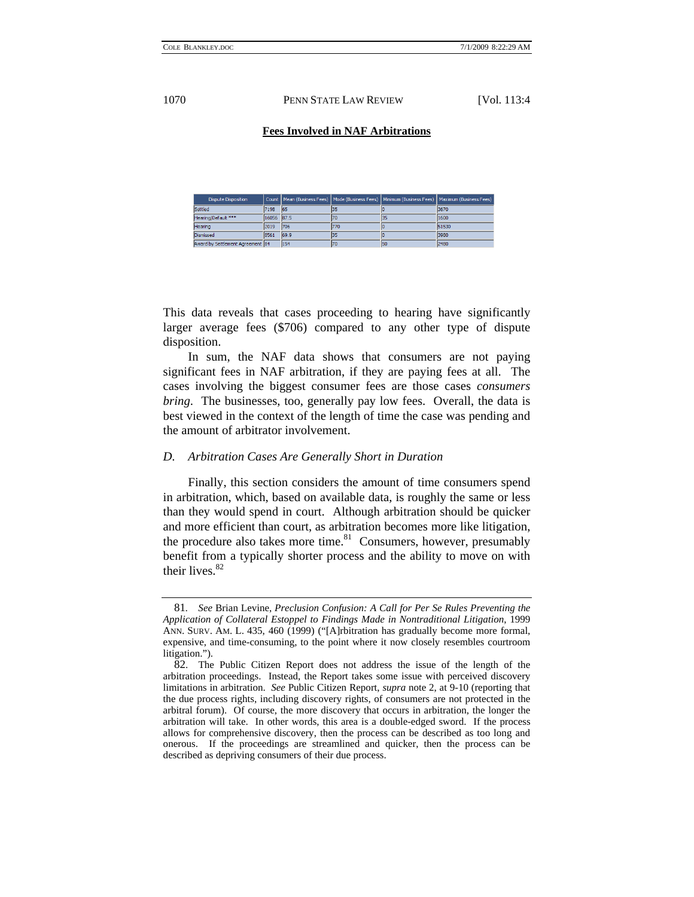#### **Fees Involved in NAF Arbitrations**

| <b>Dispute Disposition</b>               |            |       |     | Count   Mean (Business Fees)   Mode (Business Fees)   Minimum (Business Fees)   Maximum (Business Fees) |
|------------------------------------------|------------|-------|-----|---------------------------------------------------------------------------------------------------------|
| Settled                                  | 7198       | 165   | 35  | 3670                                                                                                    |
| Hearing/Default ***                      | 16056 87.5 |       |     | 1600                                                                                                    |
| Hearing                                  | 2019       | 1706  | 770 | 51530                                                                                                   |
| Dismissed                                | 8561       | 169.9 | 135 | 3980                                                                                                    |
| <b>Award by Settlement Agreement 184</b> |            | 154   |     | 12480                                                                                                   |

This data reveals that cases proceeding to hearing have significantly larger average fees (\$706) compared to any other type of dispute disposition.

In sum, the NAF data shows that consumers are not paying significant fees in NAF arbitration, if they are paying fees at all. The cases involving the biggest consumer fees are those cases *consumers bring*. The businesses, too, generally pay low fees. Overall, the data is best viewed in the context of the length of time the case was pending and the amount of arbitrator involvement.

#### *D. Arbitration Cases Are Generally Short in Duration*

Finally, this section considers the amount of time consumers spend in arbitration, which, based on available data, is roughly the same or less than they would spend in court. Although arbitration should be quicker and more efficient than court, as arbitration becomes more like litigation, the procedure also takes more time. $81$  Consumers, however, presumably benefit from a typically shorter process and the ability to move on with their lives $82$ 

<sup>81</sup>*. See* Brian Levine, *Preclusion Confusion: A Call for Per Se Rules Preventing the Application of Collateral Estoppel to Findings Made in Nontraditional Litigation*, 1999 ANN. SURV. AM. L. 435, 460 (1999) ("[A]rbitration has gradually become more formal, expensive, and time-consuming, to the point where it now closely resembles courtroom litigation.").

<sup>82.</sup> The Public Citizen Report does not address the issue of the length of the arbitration proceedings. Instead, the Report takes some issue with perceived discovery limitations in arbitration. *See* Public Citizen Report, *supra* note 2, at 9-10 (reporting that the due process rights, including discovery rights, of consumers are not protected in the arbitral forum). Of course, the more discovery that occurs in arbitration, the longer the arbitration will take. In other words, this area is a double-edged sword. If the process allows for comprehensive discovery, then the process can be described as too long and onerous. If the proceedings are streamlined and quicker, then the process can be described as depriving consumers of their due process.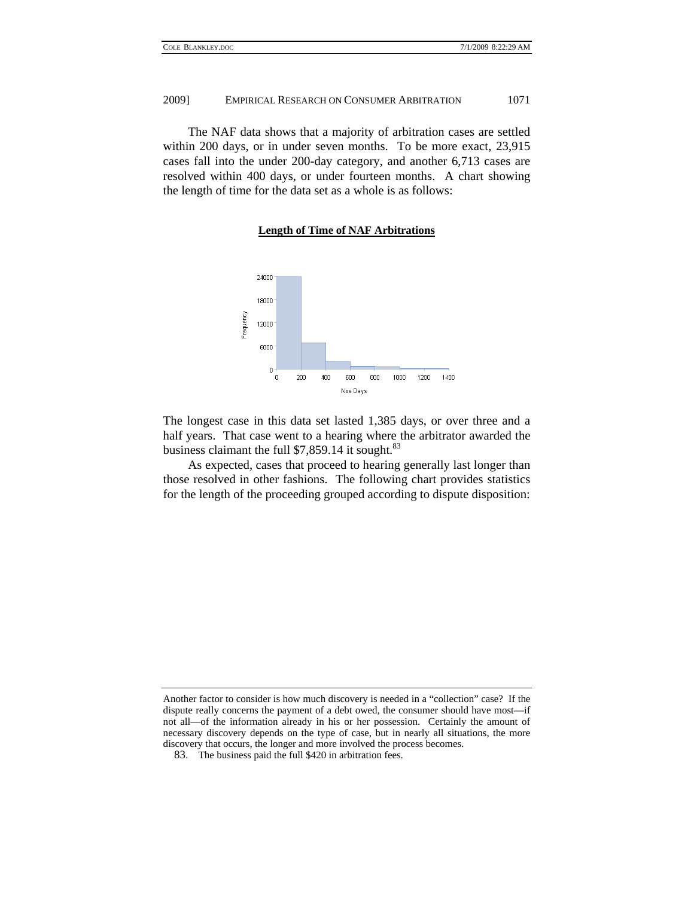The NAF data shows that a majority of arbitration cases are settled within 200 days, or in under seven months. To be more exact, 23,915 cases fall into the under 200-day category, and another 6,713 cases are resolved within 400 days, or under fourteen months. A chart showing the length of time for the data set as a whole is as follows:

#### **Length of Time of NAF Arbitrations**



The longest case in this data set lasted 1,385 days, or over three and a half years. That case went to a hearing where the arbitrator awarded the business claimant the full  $$7,859.14$  it sought.<sup>83</sup>

As expected, cases that proceed to hearing generally last longer than those resolved in other fashions. The following chart provides statistics for the length of the proceeding grouped according to dispute disposition:

Another factor to consider is how much discovery is needed in a "collection" case? If the dispute really concerns the payment of a debt owed, the consumer should have most—if not all—of the information already in his or her possession. Certainly the amount of necessary discovery depends on the type of case, but in nearly all situations, the more discovery that occurs, the longer and more involved the process becomes.

<sup>83.</sup> The business paid the full \$420 in arbitration fees.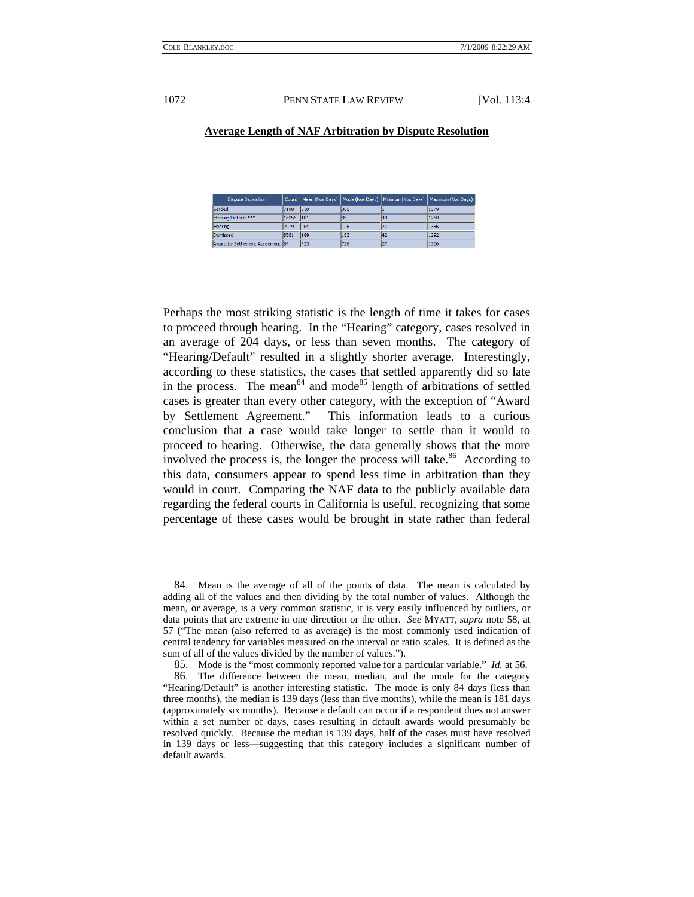#### **Average Length of NAF Arbitration by Dispute Resolution**

| <b>Dispute Disposition</b>                            |           |             |       |        | Count   Mean (Nos Days)   Mode (Nos Days)   Minimum (Nos Days)   Maximum (Nos Days) |
|-------------------------------------------------------|-----------|-------------|-------|--------|-------------------------------------------------------------------------------------|
| Settled                                               | 7198      | 310         | 365   |        | 1379                                                                                |
| Hearing/Default ***                                   | 16056 181 |             | 185   | 48     | 1260                                                                                |
| <b>Hearing</b>                                        | 2019      | 204         | 126   |        | 1385                                                                                |
| Dismissed                                             | 8561      | 189         | 183   | 42     | 1292                                                                                |
| la concept for a manufacturer of a manufacturer for a |           | <b>Lann</b> | lane. | $\sim$ | <b>Bronz</b>                                                                        |

Perhaps the most striking statistic is the length of time it takes for cases to proceed through hearing. In the "Hearing" category, cases resolved in an average of 204 days, or less than seven months. The category of "Hearing/Default" resulted in a slightly shorter average. Interestingly, according to these statistics, the cases that settled apparently did so late in the process. The mean<sup>84</sup> and mode<sup>85</sup> length of arbitrations of settled cases is greater than every other category, with the exception of "Award by Settlement Agreement." This information leads to a curious conclusion that a case would take longer to settle than it would to proceed to hearing. Otherwise, the data generally shows that the more involved the process is, the longer the process will take.<sup>86</sup> According to this data, consumers appear to spend less time in arbitration than they would in court. Comparing the NAF data to the publicly available data regarding the federal courts in California is useful, recognizing that some percentage of these cases would be brought in state rather than federal

85. Mode is the "most commonly reported value for a particular variable." *Id.* at 56.

<sup>84.</sup> Mean is the average of all of the points of data. The mean is calculated by adding all of the values and then dividing by the total number of values. Although the mean, or average, is a very common statistic, it is very easily influenced by outliers, or data points that are extreme in one direction or the other. *See* MYATT, *supra* note 58, at 57 ("The mean (also referred to as average) is the most commonly used indication of central tendency for variables measured on the interval or ratio scales. It is defined as the sum of all of the values divided by the number of values.").

<sup>86.</sup> The difference between the mean, median, and the mode for the category "Hearing/Default" is another interesting statistic. The mode is only 84 days (less than three months), the median is 139 days (less than five months), while the mean is 181 days (approximately six months). Because a default can occur if a respondent does not answer within a set number of days, cases resulting in default awards would presumably be resolved quickly. Because the median is 139 days, half of the cases must have resolved in 139 days or less—suggesting that this category includes a significant number of default awards.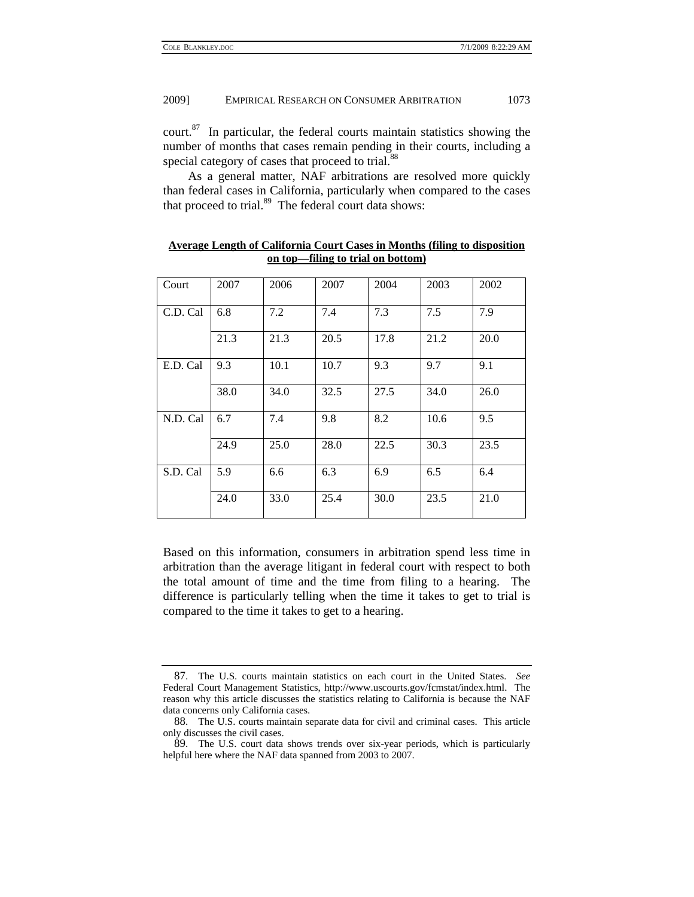court.87 In particular, the federal courts maintain statistics showing the number of months that cases remain pending in their courts, including a special category of cases that proceed to trial.<sup>88</sup>

As a general matter, NAF arbitrations are resolved more quickly than federal cases in California, particularly when compared to the cases that proceed to trial.<sup>89</sup> The federal court data shows:

| Court    | 2007 | 2006 | 2007 | 2004 | 2003 | 2002 |
|----------|------|------|------|------|------|------|
| C.D. Cal | 6.8  | 7.2  | 7.4  | 7.3  | 7.5  | 7.9  |
|          | 21.3 | 21.3 | 20.5 | 17.8 | 21.2 | 20.0 |
| E.D. Cal | 9.3  | 10.1 | 10.7 | 9.3  | 9.7  | 9.1  |
|          | 38.0 | 34.0 | 32.5 | 27.5 | 34.0 | 26.0 |
| N.D. Cal | 6.7  | 7.4  | 9.8  | 8.2  | 10.6 | 9.5  |
|          | 24.9 | 25.0 | 28.0 | 22.5 | 30.3 | 23.5 |
| S.D. Cal | 5.9  | 6.6  | 6.3  | 6.9  | 6.5  | 6.4  |
|          | 24.0 | 33.0 | 25.4 | 30.0 | 23.5 | 21.0 |

**Average Length of California Court Cases in Months (filing to disposition on top—filing to trial on bottom)**

Based on this information, consumers in arbitration spend less time in arbitration than the average litigant in federal court with respect to both the total amount of time and the time from filing to a hearing. The difference is particularly telling when the time it takes to get to trial is compared to the time it takes to get to a hearing.

<sup>87.</sup> The U.S. courts maintain statistics on each court in the United States. *See* Federal Court Management Statistics, http://www.uscourts.gov/fcmstat/index.html. The reason why this article discusses the statistics relating to California is because the NAF data concerns only California cases.

<sup>88.</sup> The U.S. courts maintain separate data for civil and criminal cases. This article only discusses the civil cases.

<sup>89.</sup> The U.S. court data shows trends over six-year periods, which is particularly helpful here where the NAF data spanned from 2003 to 2007.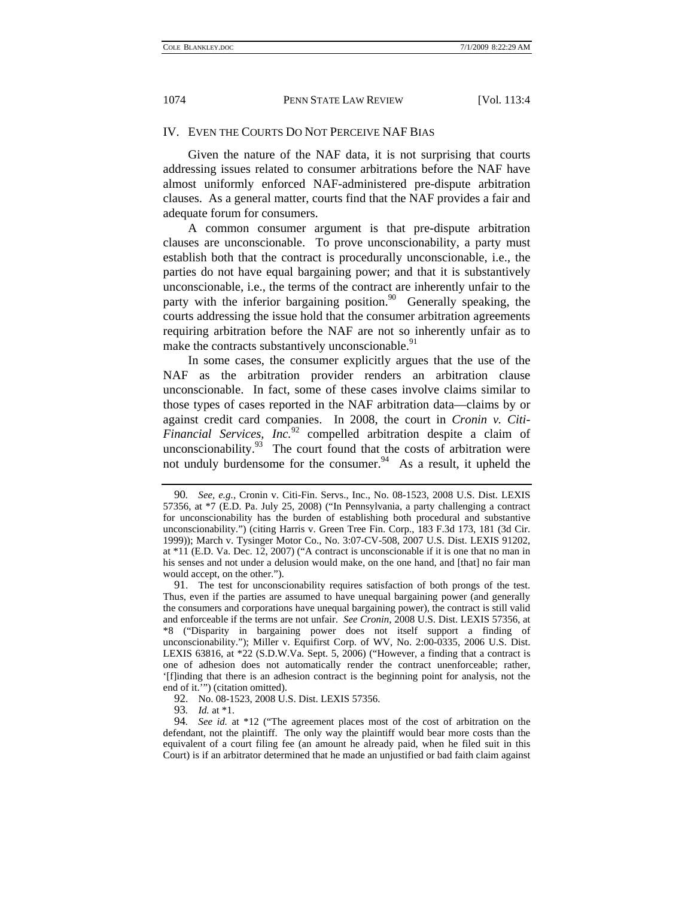### IV. EVEN THE COURTS DO NOT PERCEIVE NAF BIAS

Given the nature of the NAF data, it is not surprising that courts addressing issues related to consumer arbitrations before the NAF have almost uniformly enforced NAF-administered pre-dispute arbitration clauses. As a general matter, courts find that the NAF provides a fair and adequate forum for consumers.

A common consumer argument is that pre-dispute arbitration clauses are unconscionable. To prove unconscionability, a party must establish both that the contract is procedurally unconscionable, i.e., the parties do not have equal bargaining power; and that it is substantively unconscionable, i.e., the terms of the contract are inherently unfair to the party with the inferior bargaining position. $90$  Generally speaking, the courts addressing the issue hold that the consumer arbitration agreements requiring arbitration before the NAF are not so inherently unfair as to make the contracts substantively unconscionable.<sup>91</sup>

In some cases, the consumer explicitly argues that the use of the NAF as the arbitration provider renders an arbitration clause unconscionable. In fact, some of these cases involve claims similar to those types of cases reported in the NAF arbitration data—claims by or against credit card companies. In 2008, the court in *Cronin v. Citi-Financial Services, Inc.*<sup>92</sup> compelled arbitration despite a claim of unconscionability. $93$  The court found that the costs of arbitration were not unduly burdensome for the consumer. $94$  As a result, it upheld the

93*. Id.* at \*1.

<sup>90</sup>*. See, e.g.*, Cronin v. Citi-Fin. Servs., Inc., No. 08-1523, 2008 U.S. Dist. LEXIS 57356, at \*7 (E.D. Pa. July 25, 2008) ("In Pennsylvania, a party challenging a contract for unconscionability has the burden of establishing both procedural and substantive unconscionability.") (citing Harris v. Green Tree Fin. Corp., 183 F.3d 173, 181 (3d Cir. 1999)); March v. Tysinger Motor Co., No. 3:07-CV-508, 2007 U.S. Dist. LEXIS 91202, at \*11 (E.D. Va. Dec. 12, 2007) ("A contract is unconscionable if it is one that no man in his senses and not under a delusion would make, on the one hand, and [that] no fair man would accept, on the other.").

<sup>91.</sup> The test for unconscionability requires satisfaction of both prongs of the test. Thus, even if the parties are assumed to have unequal bargaining power (and generally the consumers and corporations have unequal bargaining power), the contract is still valid and enforceable if the terms are not unfair. *See Cronin*, 2008 U.S. Dist. LEXIS 57356, at \*8 ("Disparity in bargaining power does not itself support a finding of unconscionability."); Miller v. Equifirst Corp. of WV, No. 2:00-0335, 2006 U.S. Dist. LEXIS 63816, at \*22 (S.D.W.Va. Sept. 5, 2006) ("However, a finding that a contract is one of adhesion does not automatically render the contract unenforceable; rather, '[f]inding that there is an adhesion contract is the beginning point for analysis, not the end of it.'") (citation omitted).

<sup>92.</sup> No. 08-1523, 2008 U.S. Dist. LEXIS 57356.

<sup>94</sup>*. See id.* at \*12 ("The agreement places most of the cost of arbitration on the defendant, not the plaintiff. The only way the plaintiff would bear more costs than the equivalent of a court filing fee (an amount he already paid, when he filed suit in this Court) is if an arbitrator determined that he made an unjustified or bad faith claim against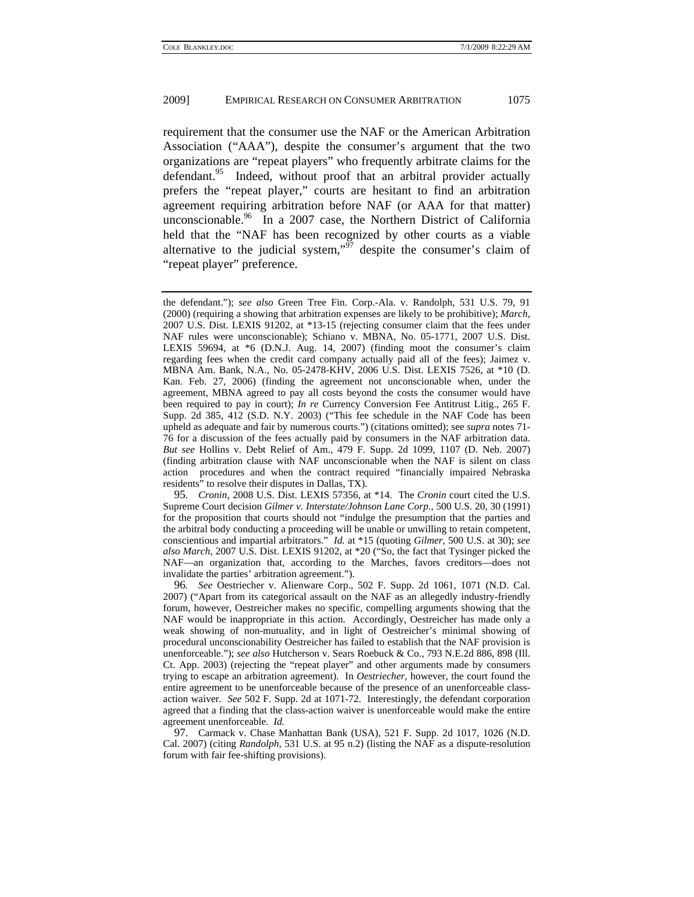requirement that the consumer use the NAF or the American Arbitration Association ("AAA"), despite the consumer's argument that the two organizations are "repeat players" who frequently arbitrate claims for the defendant.<sup>95</sup> Indeed, without proof that an arbitral provider actually prefers the "repeat player," courts are hesitant to find an arbitration agreement requiring arbitration before NAF (or AAA for that matter) unconscionable.<sup>96</sup> In a 2007 case, the Northern District of California held that the "NAF has been recognized by other courts as a viable alternative to the judicial system," $97$  despite the consumer's claim of "repeat player" preference.

95*. Cronin*, 2008 U.S. Dist. LEXIS 57356, at \*14. The *Cronin* court cited the U.S. Supreme Court decision *Gilmer v. Interstate/Johnson Lane Corp.*, 500 U.S. 20, 30 (1991) for the proposition that courts should not "indulge the presumption that the parties and the arbitral body conducting a proceeding will be unable or unwilling to retain competent, conscientious and impartial arbitrators." *Id.* at \*15 (quoting *Gilmer*, 500 U.S. at 30); *see also March*, 2007 U.S. Dist. LEXIS 91202, at \*20 ("So, the fact that Tysinger picked the NAF—an organization that, according to the Marches, favors creditors—does not invalidate the parties' arbitration agreement.").

96*. See* Oestriecher v. Alienware Corp., 502 F. Supp. 2d 1061, 1071 (N.D. Cal. 2007) ("Apart from its categorical assault on the NAF as an allegedly industry-friendly forum, however, Oestreicher makes no specific, compelling arguments showing that the NAF would be inappropriate in this action. Accordingly, Oestreicher has made only a weak showing of non-mutuality, and in light of Oestreicher's minimal showing of procedural unconscionability Oestreicher has failed to establish that the NAF provision is unenforceable."); *see also* Hutcherson v. Sears Roebuck & Co., 793 N.E.2d 886, 898 (Ill. Ct. App. 2003) (rejecting the "repeat player" and other arguments made by consumers trying to escape an arbitration agreement). In *Oestriecher*, however, the court found the entire agreement to be unenforceable because of the presence of an unenforceable classaction waiver. *See* 502 F. Supp. 2d at 1071-72. Interestingly, the defendant corporation agreed that a finding that the class-action waiver is unenforceable would make the entire agreement unenforceable. *Id.*

97. Carmack v. Chase Manhattan Bank (USA), 521 F. Supp. 2d 1017, 1026 (N.D. Cal. 2007) (citing *Randolph*, 531 U.S. at 95 n.2) (listing the NAF as a dispute-resolution forum with fair fee-shifting provisions).

the defendant."); *see also* Green Tree Fin. Corp.-Ala. v. Randolph, 531 U.S. 79, 91 (2000) (requiring a showing that arbitration expenses are likely to be prohibitive); *March*, 2007 U.S. Dist. LEXIS 91202, at \*13-15 (rejecting consumer claim that the fees under NAF rules were unconscionable); Schiano v. MBNA, No. 05-1771, 2007 U.S. Dist. LEXIS 59694, at \*6 (D.N.J. Aug. 14, 2007) (finding moot the consumer's claim regarding fees when the credit card company actually paid all of the fees); Jaimez v. MBNA Am. Bank, N.A., No. 05-2478-KHV, 2006 U.S. Dist. LEXIS 7526, at \*10 (D. Kan. Feb. 27, 2006) (finding the agreement not unconscionable when, under the agreement, MBNA agreed to pay all costs beyond the costs the consumer would have been required to pay in court); *In re* Currency Conversion Fee Antitrust Litig., 265 F. Supp. 2d 385, 412 (S.D. N.Y. 2003) ("This fee schedule in the NAF Code has been upheld as adequate and fair by numerous courts.") (citations omitted); see *supra* notes 71- 76 for a discussion of the fees actually paid by consumers in the NAF arbitration data. *But see* Hollins v. Debt Relief of Am., 479 F. Supp. 2d 1099, 1107 (D. Neb. 2007) (finding arbitration clause with NAF unconscionable when the NAF is silent on class action procedures and when the contract required "financially impaired Nebraska residents" to resolve their disputes in Dallas, TX).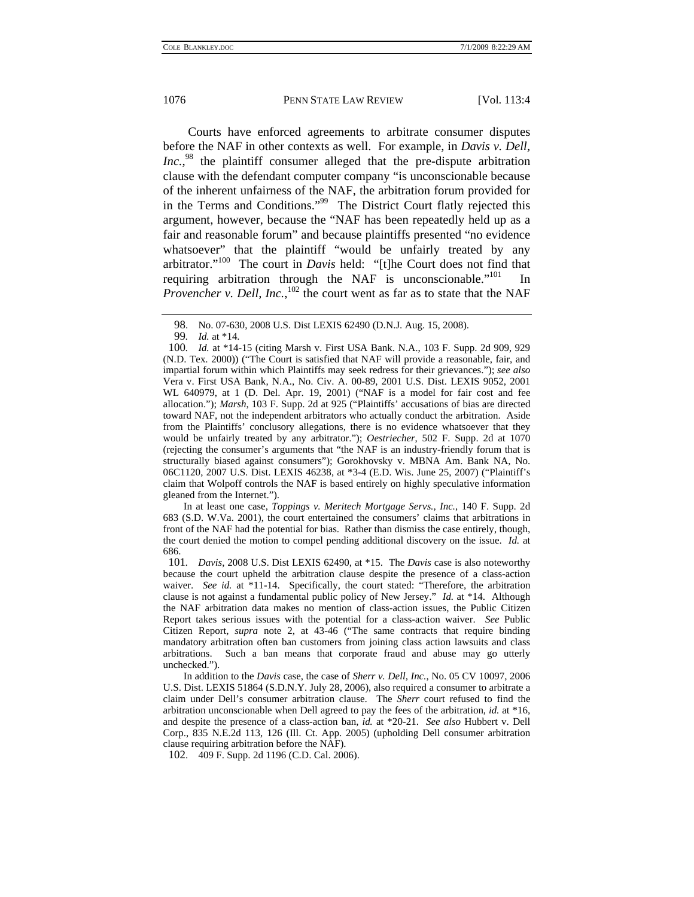Courts have enforced agreements to arbitrate consumer disputes before the NAF in other contexts as well. For example, in *Davis v. Dell,*  Inc.,<sup>98</sup> the plaintiff consumer alleged that the pre-dispute arbitration clause with the defendant computer company "is unconscionable because of the inherent unfairness of the NAF, the arbitration forum provided for in the Terms and Conditions."<sup>99</sup> The District Court flatly rejected this argument, however, because the "NAF has been repeatedly held up as a fair and reasonable forum" and because plaintiffs presented "no evidence whatsoever" that the plaintiff "would be unfairly treated by any arbitrator."100 The court in *Davis* held: "[t]he Court does not find that requiring arbitration through the NAF is unconscionable."<sup>101</sup> In *Provencher v. Dell, Inc.*, <sup>102</sup> the court went as far as to state that the NAF

100*. Id.* at \*14-15 (citing Marsh v. First USA Bank. N.A., 103 F. Supp. 2d 909, 929 (N.D. Tex. 2000)) ("The Court is satisfied that NAF will provide a reasonable, fair, and impartial forum within which Plaintiffs may seek redress for their grievances."); *see also*  Vera v. First USA Bank, N.A., No. Civ. A. 00-89, 2001 U.S. Dist. LEXIS 9052, 2001 WL 640979, at 1 (D. Del. Apr. 19, 2001) ("NAF is a model for fair cost and fee allocation."); *Marsh*, 103 F. Supp. 2d at 925 ("Plaintiffs' accusations of bias are directed toward NAF, not the independent arbitrators who actually conduct the arbitration. Aside from the Plaintiffs' conclusory allegations, there is no evidence whatsoever that they would be unfairly treated by any arbitrator."); *Oestriecher*, 502 F. Supp. 2d at 1070 (rejecting the consumer's arguments that "the NAF is an industry-friendly forum that is structurally biased against consumers"); Gorokhovsky v. MBNA Am. Bank NA, No. 06C1120, 2007 U.S. Dist. LEXIS 46238, at \*3-4 (E.D. Wis. June 25, 2007) ("Plaintiff's claim that Wolpoff controls the NAF is based entirely on highly speculative information gleaned from the Internet.").

In at least one case, *Toppings v. Meritech Mortgage Servs., Inc.*, 140 F. Supp. 2d 683 (S.D. W.Va. 2001), the court entertained the consumers' claims that arbitrations in front of the NAF had the potential for bias. Rather than dismiss the case entirely, though, the court denied the motion to compel pending additional discovery on the issue. *Id.* at 686.

101*. Davis*, 2008 U.S. Dist LEXIS 62490, at \*15. The *Davis* case is also noteworthy because the court upheld the arbitration clause despite the presence of a class-action waiver. *See id.* at \*11-14. Specifically, the court stated: "Therefore, the arbitration clause is not against a fundamental public policy of New Jersey." *Id.* at \*14. Although the NAF arbitration data makes no mention of class-action issues, the Public Citizen Report takes serious issues with the potential for a class-action waiver. *See* Public Citizen Report, *supra* note 2, at 43-46 ("The same contracts that require binding mandatory arbitration often ban customers from joining class action lawsuits and class arbitrations. Such a ban means that corporate fraud and abuse may go utterly unchecked.").

In addition to the *Davis* case, the case of *Sherr v. Dell, Inc.*, No. 05 CV 10097, 2006 U.S. Dist. LEXIS 51864 (S.D.N.Y. July 28, 2006), also required a consumer to arbitrate a claim under Dell's consumer arbitration clause. The *Sherr* court refused to find the arbitration unconscionable when Dell agreed to pay the fees of the arbitration, *id.* at \*16, and despite the presence of a class-action ban, *id.* at \*20-21. *See also* Hubbert v. Dell Corp., 835 N.E.2d 113, 126 (Ill. Ct. App. 2005) (upholding Dell consumer arbitration clause requiring arbitration before the NAF).

102. 409 F. Supp. 2d 1196 (C.D. Cal. 2006).

<sup>98.</sup> No. 07-630, 2008 U.S. Dist LEXIS 62490 (D.N.J. Aug. 15, 2008).

<sup>99</sup>*. Id.* at \*14.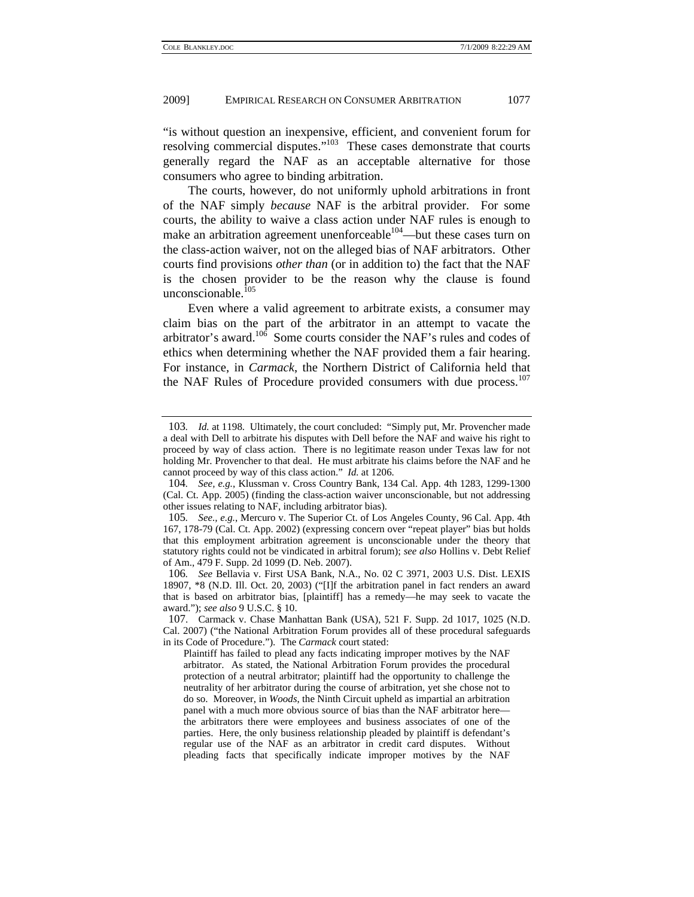"is without question an inexpensive, efficient, and convenient forum for resolving commercial disputes."<sup>103</sup> These cases demonstrate that courts generally regard the NAF as an acceptable alternative for those consumers who agree to binding arbitration.

The courts, however, do not uniformly uphold arbitrations in front of the NAF simply *because* NAF is the arbitral provider. For some courts, the ability to waive a class action under NAF rules is enough to make an arbitration agreement unenforceable $104$ —but these cases turn on the class-action waiver, not on the alleged bias of NAF arbitrators. Other courts find provisions *other than* (or in addition to) the fact that the NAF is the chosen provider to be the reason why the clause is found unconscionable. $^{105}$ 

Even where a valid agreement to arbitrate exists, a consumer may claim bias on the part of the arbitrator in an attempt to vacate the arbitrator's award.<sup>106</sup> Some courts consider the NAF's rules and codes of ethics when determining whether the NAF provided them a fair hearing. For instance, in *Carmack*, the Northern District of California held that the NAF Rules of Procedure provided consumers with due process.<sup>107</sup>

<sup>103</sup>*. Id.* at 1198. Ultimately, the court concluded: "Simply put, Mr. Provencher made a deal with Dell to arbitrate his disputes with Dell before the NAF and waive his right to proceed by way of class action. There is no legitimate reason under Texas law for not holding Mr. Provencher to that deal. He must arbitrate his claims before the NAF and he cannot proceed by way of this class action." *Id.* at 1206.

<sup>104</sup>*. See, e.g.*, Klussman v. Cross Country Bank, 134 Cal. App. 4th 1283, 1299-1300 (Cal. Ct. App. 2005) (finding the class-action waiver unconscionable, but not addressing other issues relating to NAF, including arbitrator bias).

<sup>105</sup>*. See., e.g.*, Mercuro v. The Superior Ct. of Los Angeles County, 96 Cal. App. 4th 167, 178-79 (Cal. Ct. App. 2002) (expressing concern over "repeat player" bias but holds that this employment arbitration agreement is unconscionable under the theory that statutory rights could not be vindicated in arbitral forum); *see also* Hollins v. Debt Relief of Am., 479 F. Supp. 2d 1099 (D. Neb. 2007).

<sup>106</sup>*. See* Bellavia v. First USA Bank, N.A., No. 02 C 3971, 2003 U.S. Dist. LEXIS 18907, \*8 (N.D. Ill. Oct. 20, 2003) ("[I]f the arbitration panel in fact renders an award that is based on arbitrator bias, [plaintiff] has a remedy—he may seek to vacate the award."); *see also* 9 U.S.C. § 10.

<sup>107.</sup> Carmack v. Chase Manhattan Bank (USA), 521 F. Supp. 2d 1017, 1025 (N.D. Cal. 2007) ("the National Arbitration Forum provides all of these procedural safeguards in its Code of Procedure."). The *Carmack* court stated:

Plaintiff has failed to plead any facts indicating improper motives by the NAF arbitrator. As stated, the National Arbitration Forum provides the procedural protection of a neutral arbitrator; plaintiff had the opportunity to challenge the neutrality of her arbitrator during the course of arbitration, yet she chose not to do so. Moreover, in *Woods*, the Ninth Circuit upheld as impartial an arbitration panel with a much more obvious source of bias than the NAF arbitrator here the arbitrators there were employees and business associates of one of the parties. Here, the only business relationship pleaded by plaintiff is defendant's regular use of the NAF as an arbitrator in credit card disputes. Without pleading facts that specifically indicate improper motives by the NAF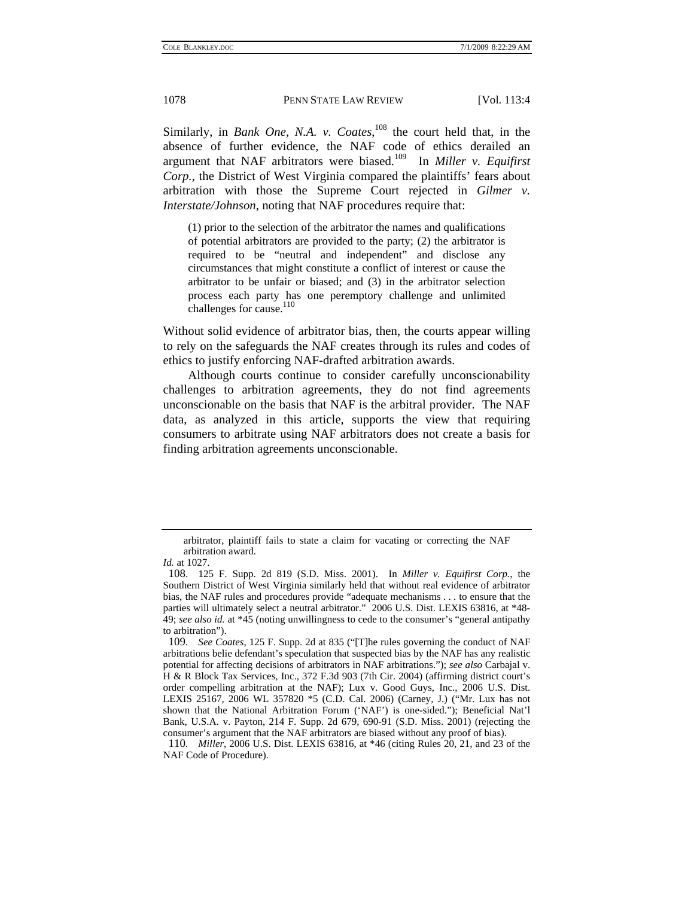Similarly, in *Bank One, N.A. v. Coates*,<sup>108</sup> the court held that, in the absence of further evidence, the NAF code of ethics derailed an argument that NAF arbitrators were biased.109 In *Miller v. Equifirst Corp.*, the District of West Virginia compared the plaintiffs' fears about arbitration with those the Supreme Court rejected in *Gilmer v. Interstate/Johnson*, noting that NAF procedures require that:

(1) prior to the selection of the arbitrator the names and qualifications of potential arbitrators are provided to the party; (2) the arbitrator is required to be "neutral and independent" and disclose any circumstances that might constitute a conflict of interest or cause the arbitrator to be unfair or biased; and (3) in the arbitrator selection process each party has one peremptory challenge and unlimited challenges for cause.<sup>110</sup>

Without solid evidence of arbitrator bias, then, the courts appear willing to rely on the safeguards the NAF creates through its rules and codes of ethics to justify enforcing NAF-drafted arbitration awards.

Although courts continue to consider carefully unconscionability challenges to arbitration agreements, they do not find agreements unconscionable on the basis that NAF is the arbitral provider. The NAF data, as analyzed in this article, supports the view that requiring consumers to arbitrate using NAF arbitrators does not create a basis for finding arbitration agreements unconscionable.

arbitrator, plaintiff fails to state a claim for vacating or correcting the NAF arbitration award.

*Id.* at 1027.

<sup>108. 125</sup> F. Supp. 2d 819 (S.D. Miss. 2001). In *Miller v. Equifirst Corp.*, the Southern District of West Virginia similarly held that without real evidence of arbitrator bias, the NAF rules and procedures provide "adequate mechanisms . . . to ensure that the parties will ultimately select a neutral arbitrator." 2006 U.S. Dist. LEXIS 63816, at \*48- 49; *see also id.* at \*45 (noting unwillingness to cede to the consumer's "general antipathy to arbitration").

<sup>109</sup>*. See Coates*, 125 F. Supp. 2d at 835 ("[T]he rules governing the conduct of NAF arbitrations belie defendant's speculation that suspected bias by the NAF has any realistic potential for affecting decisions of arbitrators in NAF arbitrations."); *see also* Carbajal v. H & R Block Tax Services, Inc., 372 F.3d 903 (7th Cir. 2004) (affirming district court's order compelling arbitration at the NAF); Lux v. Good Guys, Inc., 2006 U.S. Dist. LEXIS 25167, 2006 WL 357820 \*5 (C.D. Cal. 2006) (Carney, J.) ("Mr. Lux has not shown that the National Arbitration Forum ('NAF') is one-sided."); Beneficial Nat'l Bank, U.S.A. v. Payton, 214 F. Supp. 2d 679, 690-91 (S.D. Miss. 2001) (rejecting the consumer's argument that the NAF arbitrators are biased without any proof of bias).

<sup>110</sup>*. Miller*, 2006 U.S. Dist. LEXIS 63816, at \*46 (citing Rules 20, 21, and 23 of the NAF Code of Procedure).